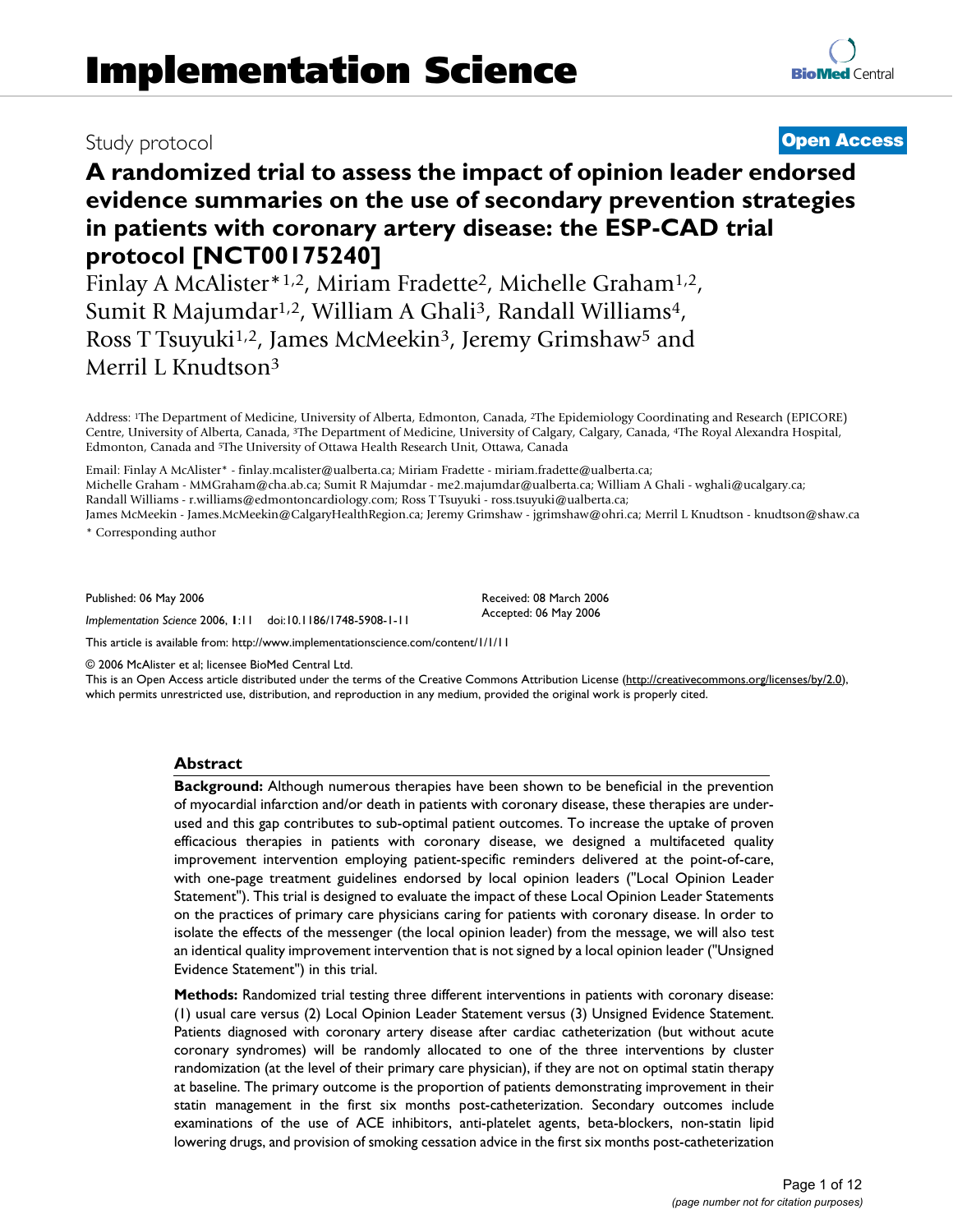# Study protocol **[Open Access](http://www.biomedcentral.com/info/about/charter/)**

# **A randomized trial to assess the impact of opinion leader endorsed evidence summaries on the use of secondary prevention strategies in patients with coronary artery disease: the ESP-CAD trial protocol [NCT00175240]**

Finlay A McAlister\*1,2, Miriam Fradette2, Michelle Graham1,2, Sumit R Majumdar1,2, William A Ghali3, Randall Williams4, Ross T Tsuyuki<sup>1,2</sup>, James McMeekin<sup>3</sup>, Jeremy Grimshaw<sup>5</sup> and Merril L Knudtson3

Address: 1The Department of Medicine, University of Alberta, Edmonton, Canada, 2The Epidemiology Coordinating and Research (EPICORE) Centre, University of Alberta, Canada, 3The Department of Medicine, University of Calgary, Calgary, Canada, 4The Royal Alexandra Hospital, Edmonton, Canada and 5The University of Ottawa Health Research Unit, Ottawa, Canada

Email: Finlay A McAlister\* - finlay.mcalister@ualberta.ca; Miriam Fradette - miriam.fradette@ualberta.ca;

Michelle Graham - MMGraham@cha.ab.ca; Sumit R Majumdar - me2.majumdar@ualberta.ca; William A Ghali - wghali@ucalgary.ca;

Randall Williams - r.williams@edmontoncardiology.com; Ross T Tsuyuki - ross.tsuyuki@ualberta.ca;

James McMeekin - James.McMeekin@CalgaryHealthRegion.ca; Jeremy Grimshaw - jgrimshaw@ohri.ca; Merril L Knudtson - knudtson@shaw.ca \* Corresponding author

Published: 06 May 2006

*Implementation Science* 2006, **1**:11 doi:10.1186/1748-5908-1-11

Received: 08 March 2006 Accepted: 06 May 2006

[This article is available from: http://www.implementationscience.com/content/1/1/11](http://www.implementationscience.com/content/1/1/11)

© 2006 McAlister et al; licensee BioMed Central Ltd.

This is an Open Access article distributed under the terms of the Creative Commons Attribution License [\(http://creativecommons.org/licenses/by/2.0\)](http://creativecommons.org/licenses/by/2.0), which permits unrestricted use, distribution, and reproduction in any medium, provided the original work is properly cited.

# **Abstract**

**Background:** Although numerous therapies have been shown to be beneficial in the prevention of myocardial infarction and/or death in patients with coronary disease, these therapies are underused and this gap contributes to sub-optimal patient outcomes. To increase the uptake of proven efficacious therapies in patients with coronary disease, we designed a multifaceted quality improvement intervention employing patient-specific reminders delivered at the point-of-care, with one-page treatment guidelines endorsed by local opinion leaders ("Local Opinion Leader Statement"). This trial is designed to evaluate the impact of these Local Opinion Leader Statements on the practices of primary care physicians caring for patients with coronary disease. In order to isolate the effects of the messenger (the local opinion leader) from the message, we will also test an identical quality improvement intervention that is not signed by a local opinion leader ("Unsigned Evidence Statement") in this trial.

**Methods:** Randomized trial testing three different interventions in patients with coronary disease: (1) usual care versus (2) Local Opinion Leader Statement versus (3) Unsigned Evidence Statement. Patients diagnosed with coronary artery disease after cardiac catheterization (but without acute coronary syndromes) will be randomly allocated to one of the three interventions by cluster randomization (at the level of their primary care physician), if they are not on optimal statin therapy at baseline. The primary outcome is the proportion of patients demonstrating improvement in their statin management in the first six months post-catheterization. Secondary outcomes include examinations of the use of ACE inhibitors, anti-platelet agents, beta-blockers, non-statin lipid lowering drugs, and provision of smoking cessation advice in the first six months post-catheterization

**[BioMed](http://www.biomedcentral.com/)** Central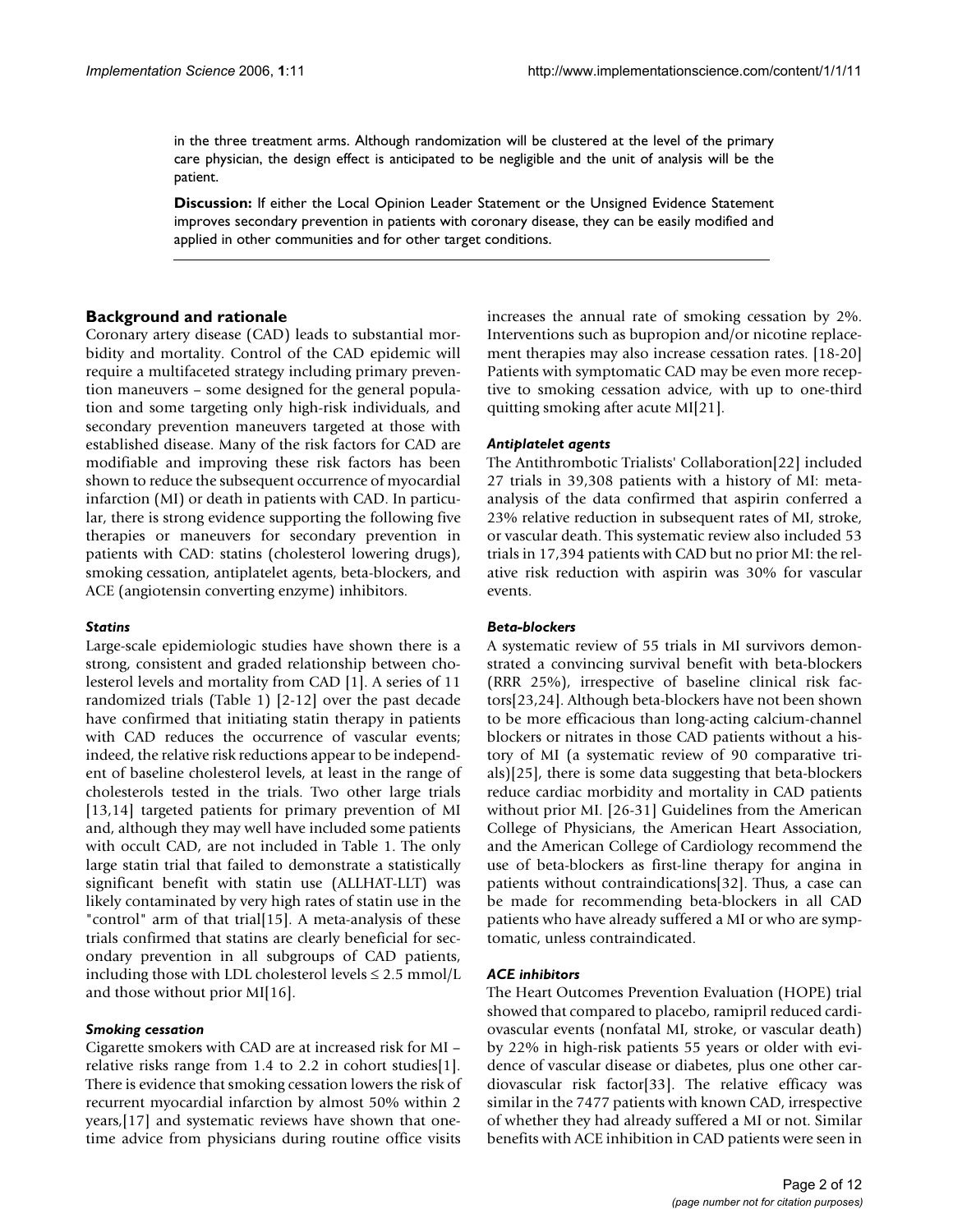in the three treatment arms. Although randomization will be clustered at the level of the primary care physician, the design effect is anticipated to be negligible and the unit of analysis will be the patient.

**Discussion:** If either the Local Opinion Leader Statement or the Unsigned Evidence Statement improves secondary prevention in patients with coronary disease, they can be easily modified and applied in other communities and for other target conditions.

# **Background and rationale**

Coronary artery disease (CAD) leads to substantial morbidity and mortality. Control of the CAD epidemic will require a multifaceted strategy including primary prevention maneuvers – some designed for the general population and some targeting only high-risk individuals, and secondary prevention maneuvers targeted at those with established disease. Many of the risk factors for CAD are modifiable and improving these risk factors has been shown to reduce the subsequent occurrence of myocardial infarction (MI) or death in patients with CAD. In particular, there is strong evidence supporting the following five therapies or maneuvers for secondary prevention in patients with CAD: statins (cholesterol lowering drugs), smoking cessation, antiplatelet agents, beta-blockers, and ACE (angiotensin converting enzyme) inhibitors.

#### *Statins*

Large-scale epidemiologic studies have shown there is a strong, consistent and graded relationship between cholesterol levels and mortality from CAD [1]. A series of 11 randomized trials (Table 1) [2-12] over the past decade have confirmed that initiating statin therapy in patients with CAD reduces the occurrence of vascular events; indeed, the relative risk reductions appear to be independent of baseline cholesterol levels, at least in the range of cholesterols tested in the trials. Two other large trials [13,14] targeted patients for primary prevention of MI and, although they may well have included some patients with occult CAD, are not included in Table 1. The only large statin trial that failed to demonstrate a statistically significant benefit with statin use (ALLHAT-LLT) was likely contaminated by very high rates of statin use in the "control" arm of that trial[15]. A meta-analysis of these trials confirmed that statins are clearly beneficial for secondary prevention in all subgroups of CAD patients, including those with LDL cholesterol levels  $\leq$  2.5 mmol/L and those without prior MI[16].

#### *Smoking cessation*

Cigarette smokers with CAD are at increased risk for MI – relative risks range from 1.4 to 2.2 in cohort studies[1]. There is evidence that smoking cessation lowers the risk of recurrent myocardial infarction by almost 50% within 2 years,[17] and systematic reviews have shown that onetime advice from physicians during routine office visits increases the annual rate of smoking cessation by 2%. Interventions such as bupropion and/or nicotine replacement therapies may also increase cessation rates. [18-20] Patients with symptomatic CAD may be even more receptive to smoking cessation advice, with up to one-third quitting smoking after acute MI[21].

#### *Antiplatelet agents*

The Antithrombotic Trialists' Collaboration[22] included 27 trials in 39,308 patients with a history of MI: metaanalysis of the data confirmed that aspirin conferred a 23% relative reduction in subsequent rates of MI, stroke, or vascular death. This systematic review also included 53 trials in 17,394 patients with CAD but no prior MI: the relative risk reduction with aspirin was 30% for vascular events.

#### *Beta-blockers*

A systematic review of 55 trials in MI survivors demonstrated a convincing survival benefit with beta-blockers (RRR 25%), irrespective of baseline clinical risk factors[23,24]. Although beta-blockers have not been shown to be more efficacious than long-acting calcium-channel blockers or nitrates in those CAD patients without a history of MI (a systematic review of 90 comparative trials)[25], there is some data suggesting that beta-blockers reduce cardiac morbidity and mortality in CAD patients without prior MI. [26-31] Guidelines from the American College of Physicians, the American Heart Association, and the American College of Cardiology recommend the use of beta-blockers as first-line therapy for angina in patients without contraindications[32]. Thus, a case can be made for recommending beta-blockers in all CAD patients who have already suffered a MI or who are symptomatic, unless contraindicated.

# *ACE inhibitors*

The Heart Outcomes Prevention Evaluation (HOPE) trial showed that compared to placebo, ramipril reduced cardiovascular events (nonfatal MI, stroke, or vascular death) by 22% in high-risk patients 55 years or older with evidence of vascular disease or diabetes, plus one other cardiovascular risk factor[33]. The relative efficacy was similar in the 7477 patients with known CAD, irrespective of whether they had already suffered a MI or not. Similar benefits with ACE inhibition in CAD patients were seen in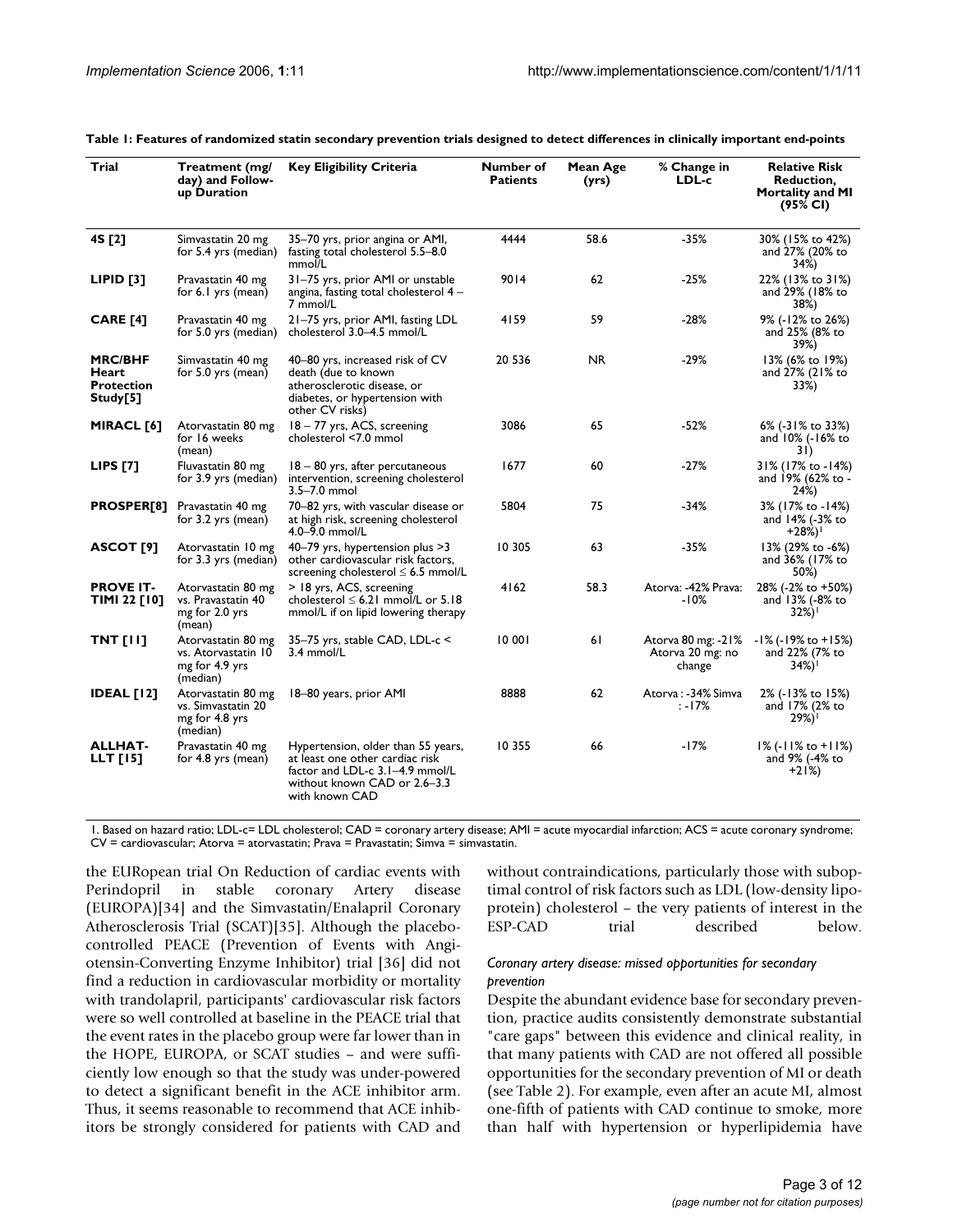| Trial                                                    | Treatment (mg/<br>day) and Follow-<br>up Duration                       | <b>Key Eligibility Criteria</b>                                                                                                                            | Number of<br><b>Patients</b> | Mean Age<br>(yrs) | % Change in<br>LDL-c                             | <b>Relative Risk</b><br>Reduction,<br>Mortality and MI<br>$(95\% \, \text{Cl})$ |
|----------------------------------------------------------|-------------------------------------------------------------------------|------------------------------------------------------------------------------------------------------------------------------------------------------------|------------------------------|-------------------|--------------------------------------------------|---------------------------------------------------------------------------------|
| 4S [2]                                                   | Simvastatin 20 mg<br>for 5.4 yrs (median)                               | 35–70 yrs, prior angina or AMI,<br>fasting total cholesterol 5.5-8.0<br>mmol/L                                                                             | 4444                         | 58.6              | $-35%$                                           | 30% (15% to 42%)<br>and 27% (20% to<br>34%)                                     |
| <b>LIPID [3]</b>                                         | Pravastatin 40 mg<br>for 6.1 yrs (mean)                                 | 31-75 yrs, prior AMI or unstable<br>angina, fasting total cholesterol 4 -<br>7 mmol/L                                                                      | 9014                         | 62                | $-25%$                                           | 22% (13% to 31%)<br>and 29% (18% to<br>38%)                                     |
| <b>CARE [4]</b>                                          | Pravastatin 40 mg<br>for 5.0 yrs (median)                               | 21-75 yrs, prior AMI, fasting LDL<br>cholesterol 3.0-4.5 mmol/L                                                                                            | 4159                         | 59                | $-28%$                                           | 9% (-12% to 26%)<br>and 25% (8% to<br>39%)                                      |
| <b>MRC/BHF</b><br>Heart<br><b>Protection</b><br>Study[5] | Simvastatin 40 mg<br>for $5.0$ yrs (mean)                               | 40–80 yrs, increased risk of CV<br>death (due to known<br>atherosclerotic disease, or<br>diabetes, or hypertension with<br>other CV risks)                 | 20 536                       | NR.               | $-29%$                                           | 13% (6% to 19%)<br>and 27% (21% to<br>33%)                                      |
| <b>MIRACL [6]</b>                                        | Atorvastatin 80 mg<br>for 16 weeks<br>(mean)                            | 18 - 77 yrs, ACS, screening<br>cholesterol <7.0 mmol                                                                                                       | 3086                         | 65                | $-52%$                                           | 6% (-31% to 33%)<br>and 10% (-16% to<br>31)                                     |
| <b>LIPS</b> [7]                                          | Fluvastatin 80 mg<br>for 3.9 yrs (median)                               | 18 – 80 yrs, after percutaneous<br>intervention, screening cholesterol<br>$3.5 - 7.0$ mmol                                                                 | 1677                         | 60                | $-27%$                                           | 31% (17% to -14%)<br>and 19% (62% to -<br>24%)                                  |
| <b>PROSPER[8]</b>                                        | Pravastatin 40 mg<br>for $3.2$ yrs (mean)                               | 70–82 yrs, with vascular disease or<br>at high risk, screening cholesterol<br>4.0–9.0 mmol/L                                                               | 5804                         | 75                | -34%                                             | 3% (17% to -14%)<br>and 14% (-3% to<br>$+28%$ <sup>1</sup>                      |
| <b>ASCOT [9]</b>                                         | Atorvastatin 10 mg<br>for 3.3 yrs (median)                              | 40-79 yrs, hypertension plus >3<br>other cardiovascular risk factors,<br>screening cholesterol $\leq$ 6.5 mmol/L                                           | 10 305                       | 63                | $-35%$                                           | 13% (29% to -6%)<br>and 36% (17% to<br>50%)                                     |
| <b>PROVE IT-</b><br>TIMI 22 [10]                         | Atorvastatin 80 mg<br>vs. Pravastatin 40<br>mg for 2.0 yrs<br>(mean)    | > 18 yrs, ACS, screening<br>cholesterol $\leq$ 6.21 mmol/L or 5.18<br>mmol/L if on lipid lowering therapy                                                  | 4162                         | 58.3              | Atorva: -42% Prava:<br>$-10%$                    | 28% (-2% to +50%)<br>and 13% (-8% to<br>$32\%)$                                 |
| <b>TNT [II]</b>                                          | Atorvastatin 80 mg<br>vs. Atorvastatin 10<br>mg for 4.9 yrs<br>(median) | 35-75 yrs, stable CAD, LDL-c <<br>3.4 mmol/L                                                                                                               | 10 001                       | 61                | Atorva 80 mg: -21%<br>Atorva 20 mg: no<br>change | $-1\%$ ( $-19\%$ to $+15\%)$<br>and 22% (7% to<br>$34\%)$                       |
| <b>IDEAL [12]</b>                                        | Atorvastatin 80 mg<br>vs. Simvastatin 20<br>mg for 4.8 yrs<br>(median)  | 18-80 years, prior AMI                                                                                                                                     | 8888                         | 62                | Atorya: -34% Simya<br>$: -17%$                   | 2% (-13% to 15%)<br>and 17% (2% to<br>$29\%)$                                   |
| ALLHAT-<br>LLT [15]                                      | Pravastatin 40 mg<br>for 4.8 yrs (mean)                                 | Hypertension, older than 55 years,<br>at least one other cardiac risk<br>factor and LDL-c 3.1–4.9 mmol/L<br>without known CAD or 2.6-3.3<br>with known CAD | 10 355                       | 66                | -17%                                             | $1\%$ (-11\% to +11\%)<br>and 9% (-4% to<br>$+21\%)$                            |

**Table 1: Features of randomized statin secondary prevention trials designed to detect differences in clinically important end-points**

1. Based on hazard ratio; LDL-c= LDL cholesterol; CAD = coronary artery disease; AMI = acute myocardial infarction; ACS = acute coronary syndrome;  $CV =$  cardiovascular; Atorva = atorvastatin; Prava = Pravastatin; Simva = simvastatin.

the EURopean trial On Reduction of cardiac events with Perindopril in stable coronary Artery disease (EUROPA)[34] and the Simvastatin/Enalapril Coronary Atherosclerosis Trial (SCAT)[35]. Although the placebocontrolled PEACE (Prevention of Events with Angiotensin-Converting Enzyme Inhibitor) trial [36] did not find a reduction in cardiovascular morbidity or mortality with trandolapril, participants' cardiovascular risk factors were so well controlled at baseline in the PEACE trial that the event rates in the placebo group were far lower than in the HOPE, EUROPA, or SCAT studies – and were sufficiently low enough so that the study was under-powered to detect a significant benefit in the ACE inhibitor arm. Thus, it seems reasonable to recommend that ACE inhibitors be strongly considered for patients with CAD and without contraindications, particularly those with suboptimal control of risk factors such as LDL (low-density lipoprotein) cholesterol – the very patients of interest in the ESP-CAD trial described below.

# *Coronary artery disease: missed opportunities for secondary prevention*

Despite the abundant evidence base for secondary prevention, practice audits consistently demonstrate substantial "care gaps" between this evidence and clinical reality, in that many patients with CAD are not offered all possible opportunities for the secondary prevention of MI or death (see Table 2). For example, even after an acute MI, almost one-fifth of patients with CAD continue to smoke, more than half with hypertension or hyperlipidemia have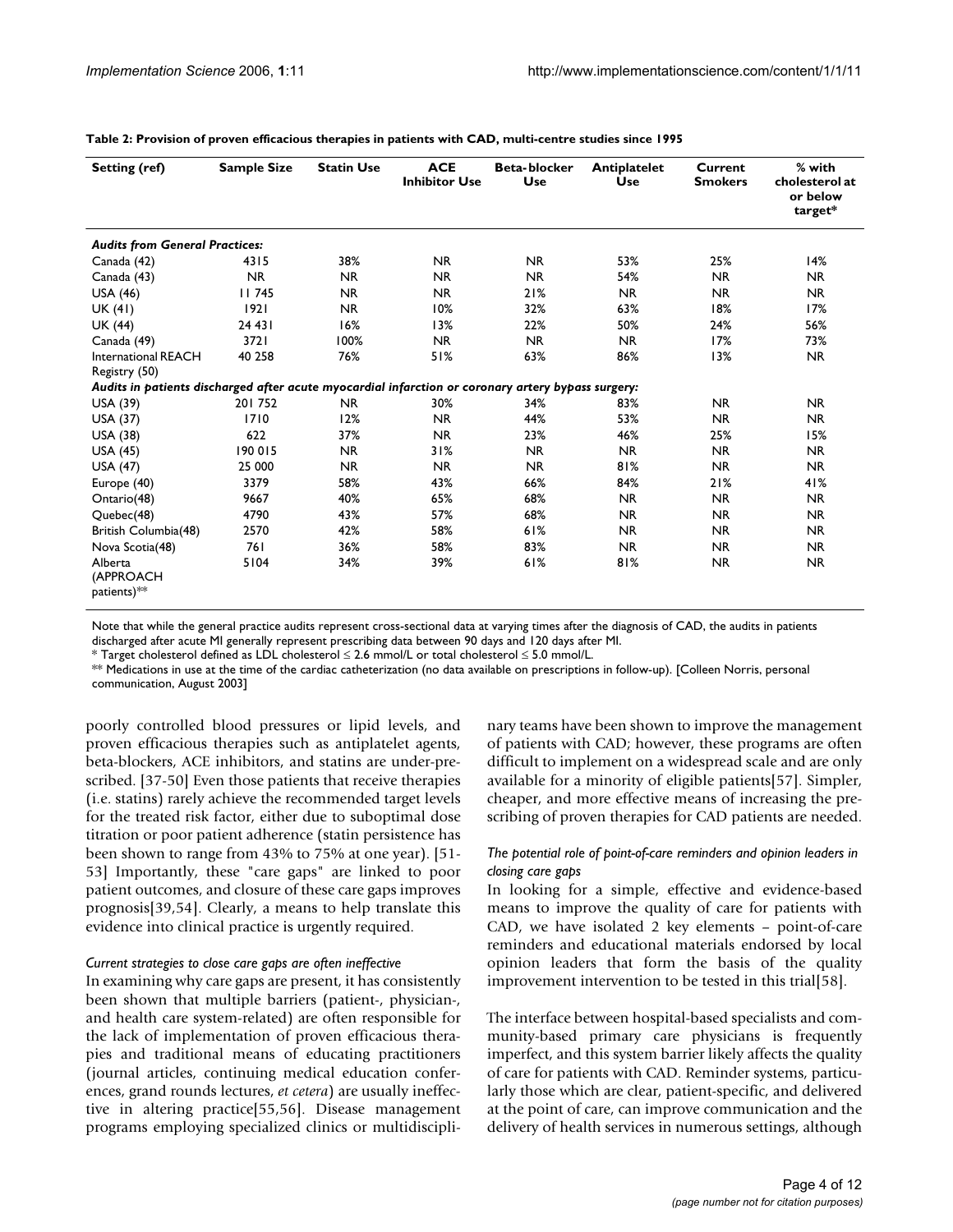| Setting (ref)                                                                                      | <b>Sample Size</b> | <b>Statin Use</b> | <b>ACE</b><br><b>Inhibitor Use</b> | <b>Beta-blocker</b><br>Use | <b>Antiplatelet</b><br>Use | Current<br><b>Smokers</b> | % with<br>cholesterol at<br>or below<br>target* |
|----------------------------------------------------------------------------------------------------|--------------------|-------------------|------------------------------------|----------------------------|----------------------------|---------------------------|-------------------------------------------------|
| <b>Audits from General Practices:</b>                                                              |                    |                   |                                    |                            |                            |                           |                                                 |
| Canada (42)                                                                                        | 4315               | 38%               | <b>NR</b>                          | <b>NR</b>                  | 53%                        | 25%                       | 14%                                             |
| Canada (43)                                                                                        | <b>NR</b>          | <b>NR</b>         | <b>NR</b>                          | <b>NR</b>                  | 54%                        | <b>NR</b>                 | <b>NR</b>                                       |
| <b>USA (46)</b>                                                                                    | <b>II</b> 745      | <b>NR</b>         | <b>NR</b>                          | 21%                        | <b>NR</b>                  | <b>NR</b>                 | <b>NR</b>                                       |
| <b>UK (41)</b>                                                                                     | 1921               | <b>NR</b>         | 10%                                | 32%                        | 63%                        | 18%                       | 17%                                             |
| UK (44)                                                                                            | 24 43 1            | 16%               | 13%                                | 22%                        | 50%                        | 24%                       | 56%                                             |
| Canada (49)                                                                                        | 3721               | 100%              | <b>NR</b>                          | <b>NR</b>                  | <b>NR</b>                  | 17%                       | 73%                                             |
| <b>International REACH</b>                                                                         | 40 258             | 76%               | 51%                                | 63%                        | 86%                        | 13%                       | <b>NR</b>                                       |
| Registry (50)                                                                                      |                    |                   |                                    |                            |                            |                           |                                                 |
| Audits in patients discharged after acute myocardial infarction or coronary artery bypass surgery: |                    |                   |                                    |                            |                            |                           |                                                 |
| USA (39)                                                                                           | 201752             | <b>NR</b>         | 30%                                | 34%                        | 83%                        | <b>NR</b>                 | <b>NR</b>                                       |
| <b>USA (37)</b>                                                                                    | 1710               | 12%               | <b>NR</b>                          | 44%                        | 53%                        | <b>NR</b>                 | <b>NR</b>                                       |
| <b>USA (38)</b>                                                                                    | 622                | 37%               | <b>NR</b>                          | 23%                        | 46%                        | 25%                       | 15%                                             |
| <b>USA (45)</b>                                                                                    | 190 015            | <b>NR</b>         | 31%                                | <b>NR</b>                  | <b>NR</b>                  | <b>NR</b>                 | <b>NR</b>                                       |
| <b>USA (47)</b>                                                                                    | 25 000             | <b>NR</b>         | <b>NR</b>                          | <b>NR</b>                  | 81%                        | <b>NR</b>                 | <b>NR</b>                                       |
| Europe (40)                                                                                        | 3379               | 58%               | 43%                                | 66%                        | 84%                        | 21%                       | 41%                                             |
| Ontario(48)                                                                                        | 9667               | 40%               | 65%                                | 68%                        | <b>NR</b>                  | <b>NR</b>                 | <b>NR</b>                                       |
| Quebec(48)                                                                                         | 4790               | 43%               | 57%                                | 68%                        | <b>NR</b>                  | <b>NR</b>                 | <b>NR</b>                                       |
| British Columbia(48)                                                                               | 2570               | 42%               | 58%                                | 61%                        | <b>NR</b>                  | <b>NR</b>                 | <b>NR</b>                                       |
| Nova Scotia(48)                                                                                    | 761                | 36%               | 58%                                | 83%                        | <b>NR</b>                  | <b>NR</b>                 | <b>NR</b>                                       |
| Alberta<br>(APPROACH<br>patients)**                                                                | 5104               | 34%               | 39%                                | 61%                        | 81%                        | <b>NR</b>                 | <b>NR</b>                                       |

#### **Table 2: Provision of proven efficacious therapies in patients with CAD, multi-centre studies since 1995**

Note that while the general practice audits represent cross-sectional data at varying times after the diagnosis of CAD, the audits in patients discharged after acute MI generally represent prescribing data between 90 days and 120 days after MI.

\* Target cholesterol defined as LDL cholesterol ≤ 2.6 mmol/L or total cholesterol ≤ 5.0 mmol/L.

\*\* Medications in use at the time of the cardiac catheterization (no data available on prescriptions in follow-up). [Colleen Norris, personal communication, August 2003]

poorly controlled blood pressures or lipid levels, and proven efficacious therapies such as antiplatelet agents, beta-blockers, ACE inhibitors, and statins are under-prescribed. [37-50] Even those patients that receive therapies (i.e. statins) rarely achieve the recommended target levels for the treated risk factor, either due to suboptimal dose titration or poor patient adherence (statin persistence has been shown to range from 43% to 75% at one year). [51- 53] Importantly, these "care gaps" are linked to poor patient outcomes, and closure of these care gaps improves prognosis[39,54]. Clearly, a means to help translate this evidence into clinical practice is urgently required.

#### *Current strategies to close care gaps are often ineffective*

In examining why care gaps are present, it has consistently been shown that multiple barriers (patient-, physician-, and health care system-related) are often responsible for the lack of implementation of proven efficacious therapies and traditional means of educating practitioners (journal articles, continuing medical education conferences, grand rounds lectures, *et cetera*) are usually ineffective in altering practice[55,56]. Disease management programs employing specialized clinics or multidisciplinary teams have been shown to improve the management of patients with CAD; however, these programs are often difficult to implement on a widespread scale and are only available for a minority of eligible patients[57]. Simpler, cheaper, and more effective means of increasing the prescribing of proven therapies for CAD patients are needed.

#### *The potential role of point-of-care reminders and opinion leaders in closing care gaps*

In looking for a simple, effective and evidence-based means to improve the quality of care for patients with CAD, we have isolated 2 key elements – point-of-care reminders and educational materials endorsed by local opinion leaders that form the basis of the quality improvement intervention to be tested in this trial[58].

The interface between hospital-based specialists and community-based primary care physicians is frequently imperfect, and this system barrier likely affects the quality of care for patients with CAD. Reminder systems, particularly those which are clear, patient-specific, and delivered at the point of care, can improve communication and the delivery of health services in numerous settings, although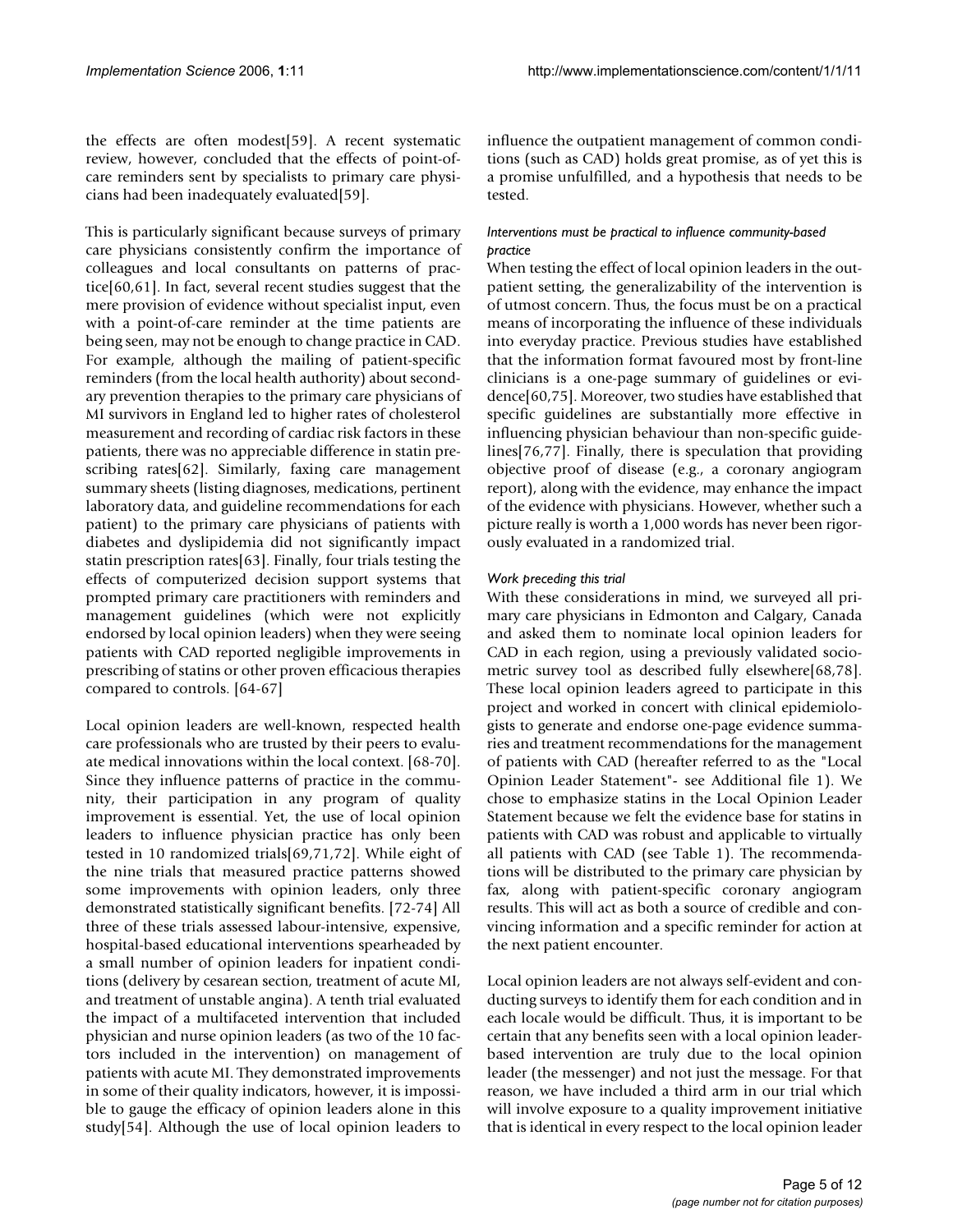the effects are often modest[59]. A recent systematic review, however, concluded that the effects of point-ofcare reminders sent by specialists to primary care physicians had been inadequately evaluated[59].

This is particularly significant because surveys of primary care physicians consistently confirm the importance of colleagues and local consultants on patterns of practice[60,61]. In fact, several recent studies suggest that the mere provision of evidence without specialist input, even with a point-of-care reminder at the time patients are being seen, may not be enough to change practice in CAD. For example, although the mailing of patient-specific reminders (from the local health authority) about secondary prevention therapies to the primary care physicians of MI survivors in England led to higher rates of cholesterol measurement and recording of cardiac risk factors in these patients, there was no appreciable difference in statin prescribing rates[62]. Similarly, faxing care management summary sheets (listing diagnoses, medications, pertinent laboratory data, and guideline recommendations for each patient) to the primary care physicians of patients with diabetes and dyslipidemia did not significantly impact statin prescription rates[63]. Finally, four trials testing the effects of computerized decision support systems that prompted primary care practitioners with reminders and management guidelines (which were not explicitly endorsed by local opinion leaders) when they were seeing patients with CAD reported negligible improvements in prescribing of statins or other proven efficacious therapies compared to controls. [64-67]

Local opinion leaders are well-known, respected health care professionals who are trusted by their peers to evaluate medical innovations within the local context. [68-70]. Since they influence patterns of practice in the community, their participation in any program of quality improvement is essential. Yet, the use of local opinion leaders to influence physician practice has only been tested in 10 randomized trials[69,71,72]. While eight of the nine trials that measured practice patterns showed some improvements with opinion leaders, only three demonstrated statistically significant benefits. [72-74] All three of these trials assessed labour-intensive, expensive, hospital-based educational interventions spearheaded by a small number of opinion leaders for inpatient conditions (delivery by cesarean section, treatment of acute MI, and treatment of unstable angina). A tenth trial evaluated the impact of a multifaceted intervention that included physician and nurse opinion leaders (as two of the 10 factors included in the intervention) on management of patients with acute MI. They demonstrated improvements in some of their quality indicators, however, it is impossible to gauge the efficacy of opinion leaders alone in this study[54]. Although the use of local opinion leaders to

influence the outpatient management of common conditions (such as CAD) holds great promise, as of yet this is a promise unfulfilled, and a hypothesis that needs to be tested.

# *Interventions must be practical to influence community-based practice*

When testing the effect of local opinion leaders in the outpatient setting, the generalizability of the intervention is of utmost concern. Thus, the focus must be on a practical means of incorporating the influence of these individuals into everyday practice. Previous studies have established that the information format favoured most by front-line clinicians is a one-page summary of guidelines or evidence[60,75]. Moreover, two studies have established that specific guidelines are substantially more effective in influencing physician behaviour than non-specific guidelines[76,77]. Finally, there is speculation that providing objective proof of disease (e.g., a coronary angiogram report), along with the evidence, may enhance the impact of the evidence with physicians. However, whether such a picture really is worth a 1,000 words has never been rigorously evaluated in a randomized trial.

# *Work preceding this trial*

With these considerations in mind, we surveyed all primary care physicians in Edmonton and Calgary, Canada and asked them to nominate local opinion leaders for CAD in each region, using a previously validated sociometric survey tool as described fully elsewhere[68,78]. These local opinion leaders agreed to participate in this project and worked in concert with clinical epidemiologists to generate and endorse one-page evidence summaries and treatment recommendations for the management of patients with CAD (hereafter referred to as the "Local Opinion Leader Statement"**-** see Additional file 1). We chose to emphasize statins in the Local Opinion Leader Statement because we felt the evidence base for statins in patients with CAD was robust and applicable to virtually all patients with CAD (see Table 1). The recommendations will be distributed to the primary care physician by fax, along with patient-specific coronary angiogram results. This will act as both a source of credible and convincing information and a specific reminder for action at the next patient encounter.

Local opinion leaders are not always self-evident and conducting surveys to identify them for each condition and in each locale would be difficult. Thus, it is important to be certain that any benefits seen with a local opinion leaderbased intervention are truly due to the local opinion leader (the messenger) and not just the message. For that reason, we have included a third arm in our trial which will involve exposure to a quality improvement initiative that is identical in every respect to the local opinion leader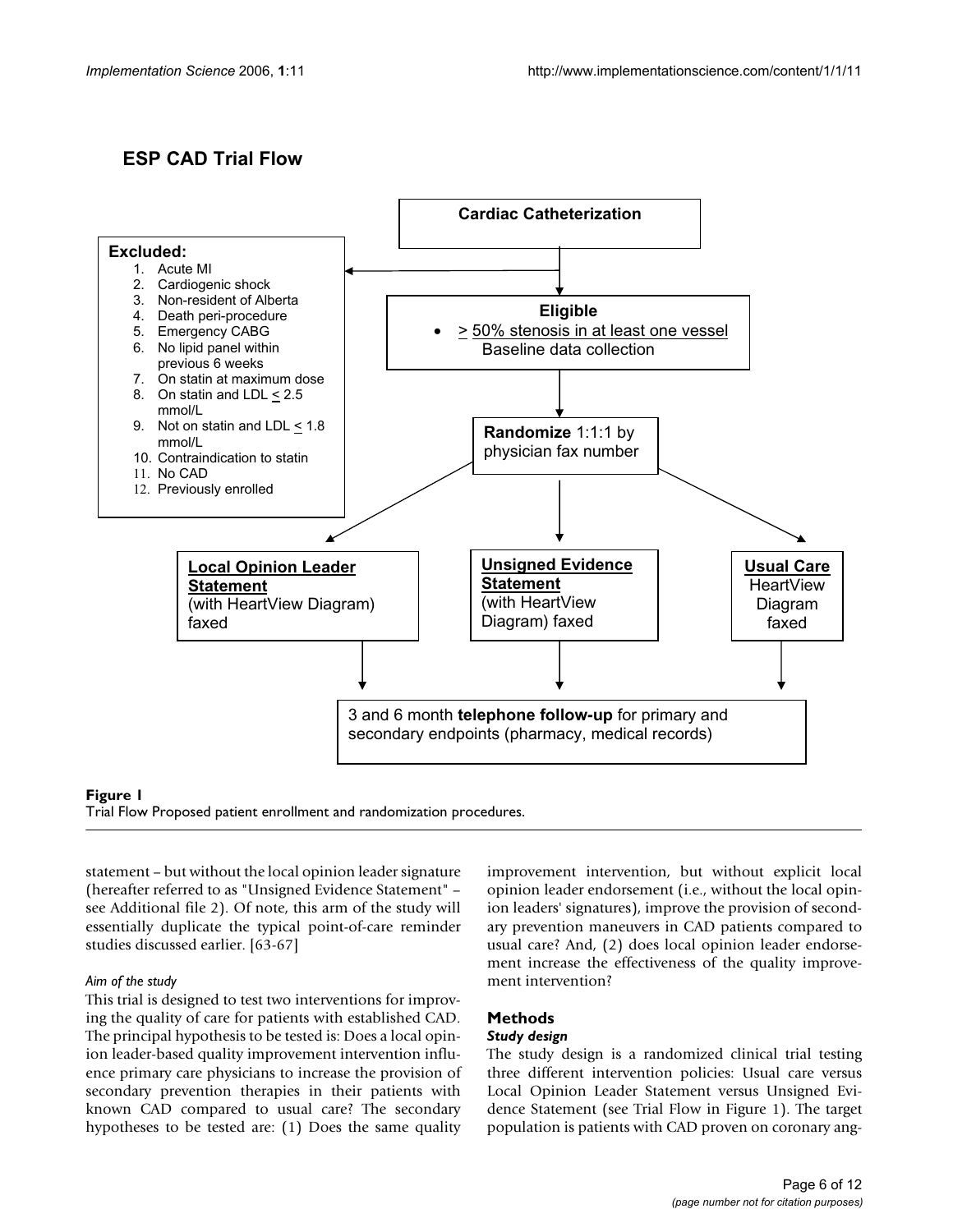# **ESP CAD Trial Flow**



# Figure 1

Trial Flow Proposed patient enrollment and randomization procedures.

statement – but without the local opinion leader signature (hereafter referred to as "Unsigned Evidence Statement" – see Additional file 2). Of note, this arm of the study will essentially duplicate the typical point-of-care reminder studies discussed earlier. [63-67]

# *Aim of the study*

This trial is designed to test two interventions for improving the quality of care for patients with established CAD. The principal hypothesis to be tested is: Does a local opinion leader-based quality improvement intervention influence primary care physicians to increase the provision of secondary prevention therapies in their patients with known CAD compared to usual care? The secondary hypotheses to be tested are: (1) Does the same quality improvement intervention, but without explicit local opinion leader endorsement (i.e., without the local opinion leaders' signatures), improve the provision of secondary prevention maneuvers in CAD patients compared to usual care? And, (2) does local opinion leader endorsement increase the effectiveness of the quality improvement intervention?

# **Methods**

# *Study design*

The study design is a randomized clinical trial testing three different intervention policies: Usual care versus Local Opinion Leader Statement versus Unsigned Evidence Statement (see Trial Flow in Figure 1). The target population is patients with CAD proven on coronary ang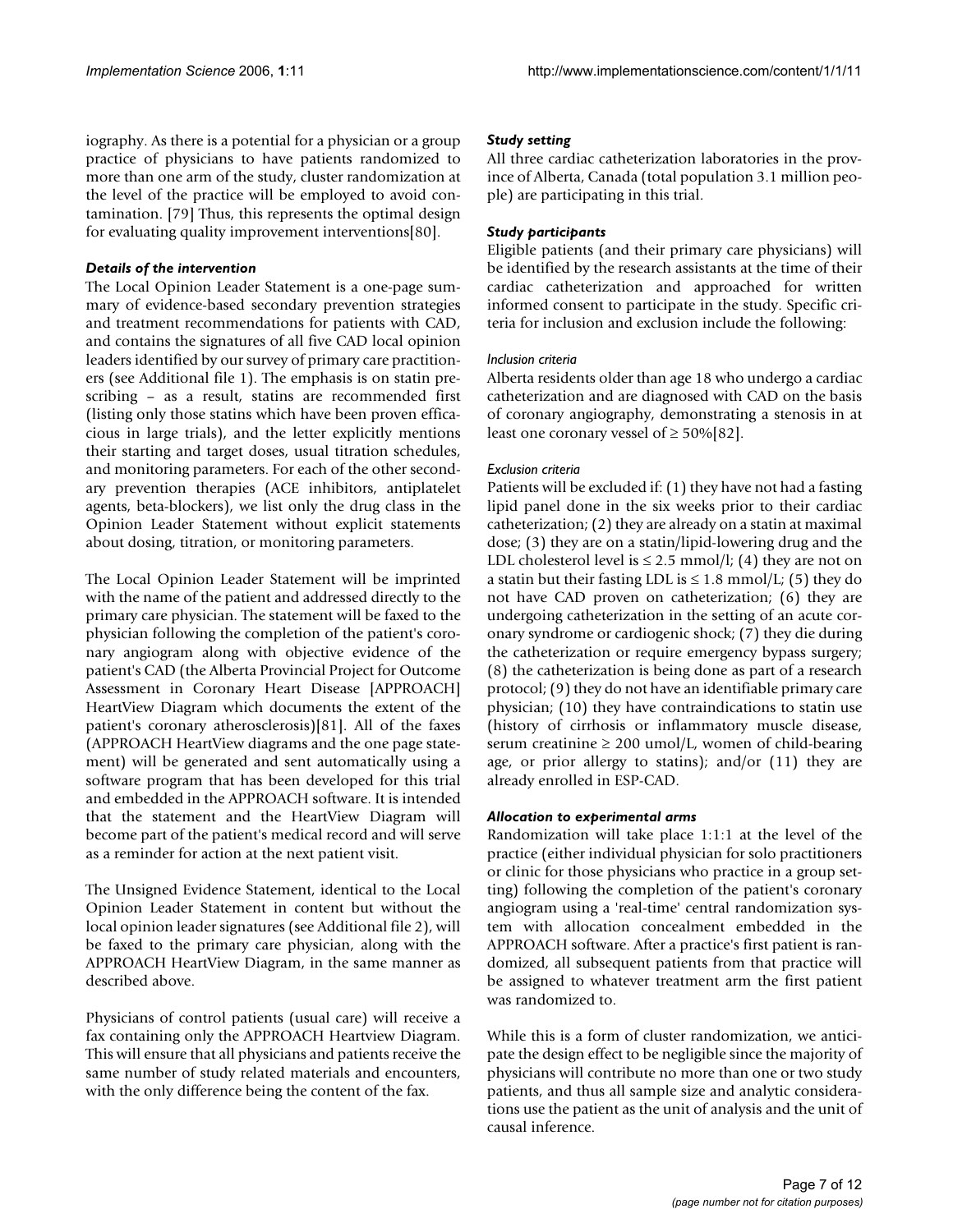iography. As there is a potential for a physician or a group practice of physicians to have patients randomized to more than one arm of the study, cluster randomization at the level of the practice will be employed to avoid contamination. [79] Thus, this represents the optimal design for evaluating quality improvement interventions[80].

# *Details of the intervention*

The Local Opinion Leader Statement is a one-page summary of evidence-based secondary prevention strategies and treatment recommendations for patients with CAD, and contains the signatures of all five CAD local opinion leaders identified by our survey of primary care practitioners (see Additional file 1). The emphasis is on statin prescribing – as a result, statins are recommended first (listing only those statins which have been proven efficacious in large trials), and the letter explicitly mentions their starting and target doses, usual titration schedules, and monitoring parameters. For each of the other secondary prevention therapies (ACE inhibitors, antiplatelet agents, beta-blockers), we list only the drug class in the Opinion Leader Statement without explicit statements about dosing, titration, or monitoring parameters.

The Local Opinion Leader Statement will be imprinted with the name of the patient and addressed directly to the primary care physician. The statement will be faxed to the physician following the completion of the patient's coronary angiogram along with objective evidence of the patient's CAD (the Alberta Provincial Project for Outcome Assessment in Coronary Heart Disease [APPROACH] HeartView Diagram which documents the extent of the patient's coronary atherosclerosis)[81]. All of the faxes (APPROACH HeartView diagrams and the one page statement) will be generated and sent automatically using a software program that has been developed for this trial and embedded in the APPROACH software. It is intended that the statement and the HeartView Diagram will become part of the patient's medical record and will serve as a reminder for action at the next patient visit.

The Unsigned Evidence Statement, identical to the Local Opinion Leader Statement in content but without the local opinion leader signatures (see Additional file 2), will be faxed to the primary care physician, along with the APPROACH HeartView Diagram, in the same manner as described above.

Physicians of control patients (usual care) will receive a fax containing only the APPROACH Heartview Diagram. This will ensure that all physicians and patients receive the same number of study related materials and encounters, with the only difference being the content of the fax.

# *Study setting*

All three cardiac catheterization laboratories in the province of Alberta, Canada (total population 3.1 million people) are participating in this trial.

# *Study participants*

Eligible patients (and their primary care physicians) will be identified by the research assistants at the time of their cardiac catheterization and approached for written informed consent to participate in the study. Specific criteria for inclusion and exclusion include the following:

# *Inclusion criteria*

Alberta residents older than age 18 who undergo a cardiac catheterization and are diagnosed with CAD on the basis of coronary angiography, demonstrating a stenosis in at least one coronary vessel of  $\geq 50\%$ [82].

# *Exclusion criteria*

Patients will be excluded if: (1) they have not had a fasting lipid panel done in the six weeks prior to their cardiac catheterization; (2) they are already on a statin at maximal dose; (3) they are on a statin/lipid-lowering drug and the LDL cholesterol level is  $\leq$  2.5 mmol/l; (4) they are not on a statin but their fasting LDL is  $\leq 1.8$  mmol/L; (5) they do not have CAD proven on catheterization; (6) they are undergoing catheterization in the setting of an acute coronary syndrome or cardiogenic shock; (7) they die during the catheterization or require emergency bypass surgery; (8) the catheterization is being done as part of a research protocol; (9) they do not have an identifiable primary care physician; (10) they have contraindications to statin use (history of cirrhosis or inflammatory muscle disease, serum creatinine  $\geq 200$  umol/L, women of child-bearing age, or prior allergy to statins); and/or (11) they are already enrolled in ESP-CAD.

# *Allocation to experimental arms*

Randomization will take place 1:1:1 at the level of the practice (either individual physician for solo practitioners or clinic for those physicians who practice in a group setting) following the completion of the patient's coronary angiogram using a 'real-time' central randomization system with allocation concealment embedded in the APPROACH software. After a practice's first patient is randomized, all subsequent patients from that practice will be assigned to whatever treatment arm the first patient was randomized to.

While this is a form of cluster randomization, we anticipate the design effect to be negligible since the majority of physicians will contribute no more than one or two study patients, and thus all sample size and analytic considerations use the patient as the unit of analysis and the unit of causal inference.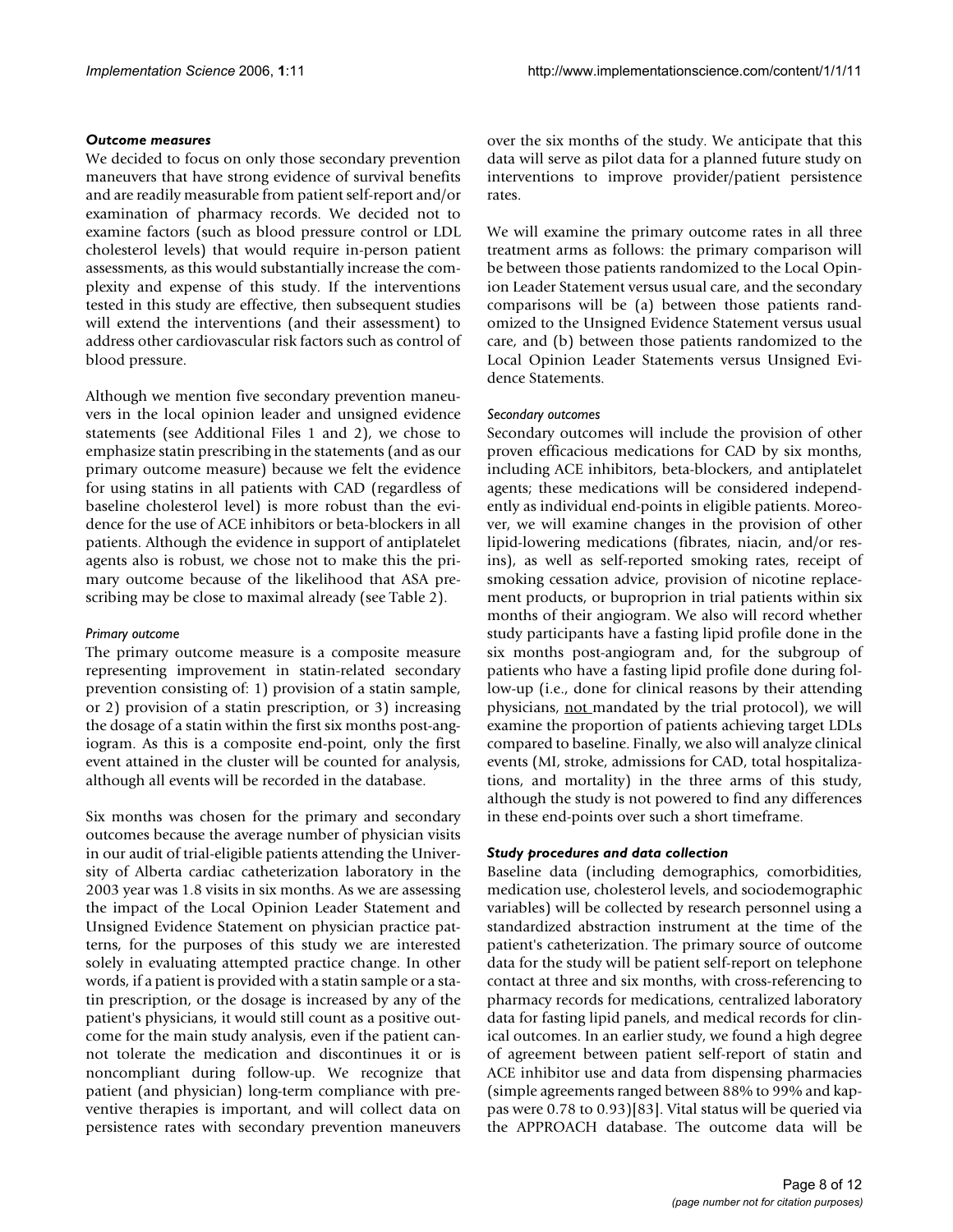# *Outcome measures*

We decided to focus on only those secondary prevention maneuvers that have strong evidence of survival benefits and are readily measurable from patient self-report and/or examination of pharmacy records. We decided not to examine factors (such as blood pressure control or LDL cholesterol levels) that would require in-person patient assessments, as this would substantially increase the complexity and expense of this study. If the interventions tested in this study are effective, then subsequent studies will extend the interventions (and their assessment) to address other cardiovascular risk factors such as control of blood pressure.

Although we mention five secondary prevention maneuvers in the local opinion leader and unsigned evidence statements (see Additional Files 1 and 2), we chose to emphasize statin prescribing in the statements (and as our primary outcome measure) because we felt the evidence for using statins in all patients with CAD (regardless of baseline cholesterol level) is more robust than the evidence for the use of ACE inhibitors or beta-blockers in all patients. Although the evidence in support of antiplatelet agents also is robust, we chose not to make this the primary outcome because of the likelihood that ASA prescribing may be close to maximal already (see Table 2).

# *Primary outcome*

The primary outcome measure is a composite measure representing improvement in statin-related secondary prevention consisting of: 1) provision of a statin sample, or 2) provision of a statin prescription, or 3) increasing the dosage of a statin within the first six months post-angiogram. As this is a composite end-point, only the first event attained in the cluster will be counted for analysis, although all events will be recorded in the database.

Six months was chosen for the primary and secondary outcomes because the average number of physician visits in our audit of trial-eligible patients attending the University of Alberta cardiac catheterization laboratory in the 2003 year was 1.8 visits in six months. As we are assessing the impact of the Local Opinion Leader Statement and Unsigned Evidence Statement on physician practice patterns, for the purposes of this study we are interested solely in evaluating attempted practice change. In other words, if a patient is provided with a statin sample or a statin prescription, or the dosage is increased by any of the patient's physicians, it would still count as a positive outcome for the main study analysis, even if the patient cannot tolerate the medication and discontinues it or is noncompliant during follow-up. We recognize that patient (and physician) long-term compliance with preventive therapies is important, and will collect data on persistence rates with secondary prevention maneuvers over the six months of the study. We anticipate that this data will serve as pilot data for a planned future study on interventions to improve provider/patient persistence rates.

We will examine the primary outcome rates in all three treatment arms as follows: the primary comparison will be between those patients randomized to the Local Opinion Leader Statement versus usual care, and the secondary comparisons will be (a) between those patients randomized to the Unsigned Evidence Statement versus usual care, and (b) between those patients randomized to the Local Opinion Leader Statements versus Unsigned Evidence Statements.

# *Secondary outcomes*

Secondary outcomes will include the provision of other proven efficacious medications for CAD by six months, including ACE inhibitors, beta-blockers, and antiplatelet agents; these medications will be considered independently as individual end-points in eligible patients. Moreover, we will examine changes in the provision of other lipid-lowering medications (fibrates, niacin, and/or resins), as well as self-reported smoking rates, receipt of smoking cessation advice, provision of nicotine replacement products, or buproprion in trial patients within six months of their angiogram. We also will record whether study participants have a fasting lipid profile done in the six months post-angiogram and, for the subgroup of patients who have a fasting lipid profile done during follow-up (i.e., done for clinical reasons by their attending physicians, not mandated by the trial protocol), we will examine the proportion of patients achieving target LDLs compared to baseline. Finally, we also will analyze clinical events (MI, stroke, admissions for CAD, total hospitalizations, and mortality) in the three arms of this study, although the study is not powered to find any differences in these end-points over such a short timeframe.

# *Study procedures and data collection*

Baseline data (including demographics, comorbidities, medication use, cholesterol levels, and sociodemographic variables) will be collected by research personnel using a standardized abstraction instrument at the time of the patient's catheterization. The primary source of outcome data for the study will be patient self-report on telephone contact at three and six months, with cross-referencing to pharmacy records for medications, centralized laboratory data for fasting lipid panels, and medical records for clinical outcomes. In an earlier study, we found a high degree of agreement between patient self-report of statin and ACE inhibitor use and data from dispensing pharmacies (simple agreements ranged between 88% to 99% and kappas were 0.78 to 0.93)[83]. Vital status will be queried via the APPROACH database. The outcome data will be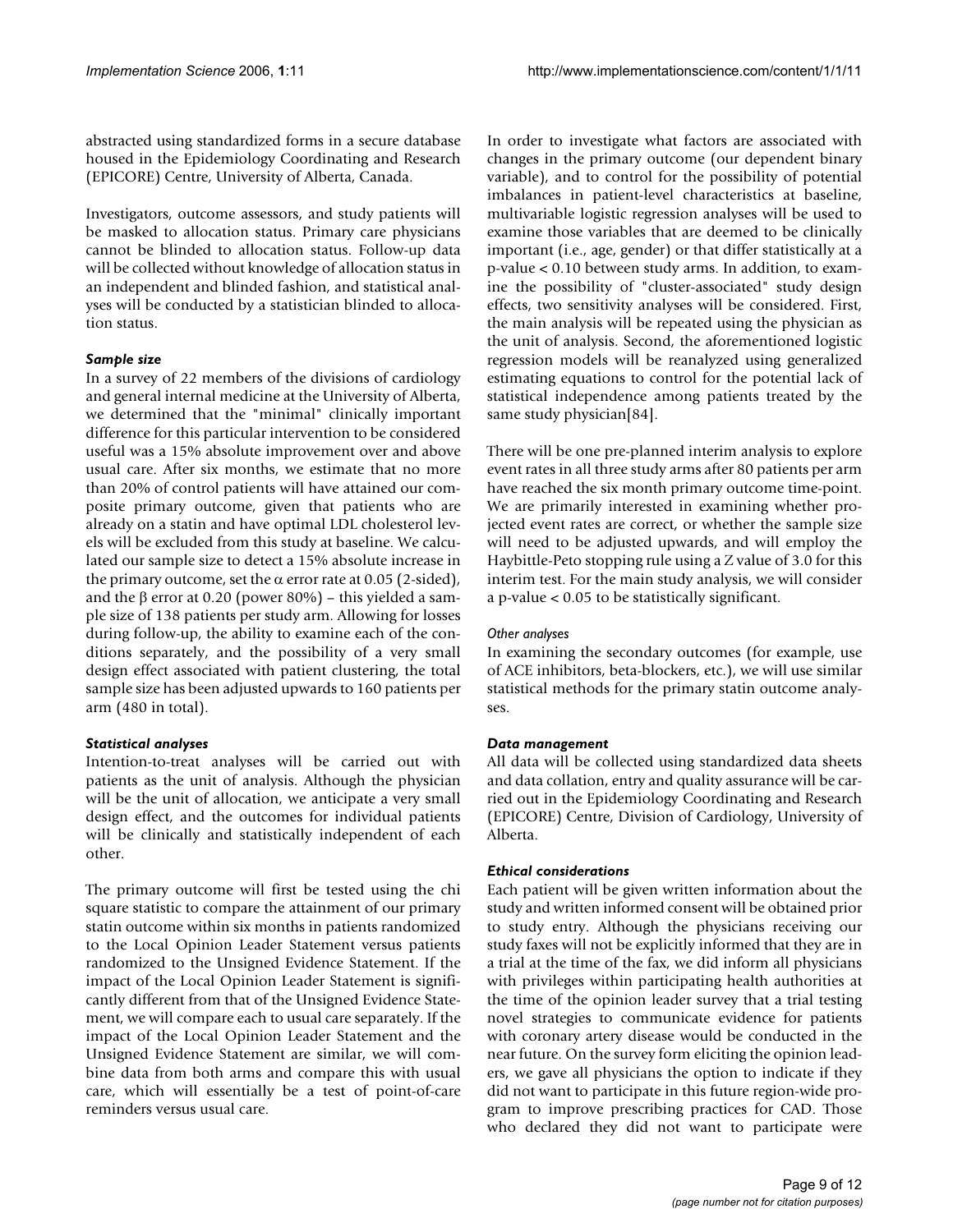abstracted using standardized forms in a secure database housed in the Epidemiology Coordinating and Research (EPICORE) Centre, University of Alberta, Canada.

Investigators, outcome assessors, and study patients will be masked to allocation status. Primary care physicians cannot be blinded to allocation status. Follow-up data will be collected without knowledge of allocation status in an independent and blinded fashion, and statistical analyses will be conducted by a statistician blinded to allocation status.

# *Sample size*

In a survey of 22 members of the divisions of cardiology and general internal medicine at the University of Alberta, we determined that the "minimal" clinically important difference for this particular intervention to be considered useful was a 15% absolute improvement over and above usual care. After six months, we estimate that no more than 20% of control patients will have attained our composite primary outcome, given that patients who are already on a statin and have optimal LDL cholesterol levels will be excluded from this study at baseline. We calculated our sample size to detect a 15% absolute increase in the primary outcome, set the α error rate at 0.05 (2-sided), and the β error at 0.20 (power 80%) – this yielded a sample size of 138 patients per study arm. Allowing for losses during follow-up, the ability to examine each of the conditions separately, and the possibility of a very small design effect associated with patient clustering, the total sample size has been adjusted upwards to 160 patients per arm (480 in total).

# *Statistical analyses*

Intention-to-treat analyses will be carried out with patients as the unit of analysis. Although the physician will be the unit of allocation, we anticipate a very small design effect, and the outcomes for individual patients will be clinically and statistically independent of each other.

The primary outcome will first be tested using the chi square statistic to compare the attainment of our primary statin outcome within six months in patients randomized to the Local Opinion Leader Statement versus patients randomized to the Unsigned Evidence Statement. If the impact of the Local Opinion Leader Statement is significantly different from that of the Unsigned Evidence Statement, we will compare each to usual care separately. If the impact of the Local Opinion Leader Statement and the Unsigned Evidence Statement are similar, we will combine data from both arms and compare this with usual care, which will essentially be a test of point-of-care reminders versus usual care.

In order to investigate what factors are associated with changes in the primary outcome (our dependent binary variable), and to control for the possibility of potential imbalances in patient-level characteristics at baseline, multivariable logistic regression analyses will be used to examine those variables that are deemed to be clinically important (i.e., age, gender) or that differ statistically at a p-value < 0.10 between study arms. In addition, to examine the possibility of "cluster-associated" study design effects, two sensitivity analyses will be considered. First, the main analysis will be repeated using the physician as the unit of analysis. Second, the aforementioned logistic regression models will be reanalyzed using generalized estimating equations to control for the potential lack of statistical independence among patients treated by the same study physician[84].

There will be one pre-planned interim analysis to explore event rates in all three study arms after 80 patients per arm have reached the six month primary outcome time-point. We are primarily interested in examining whether projected event rates are correct, or whether the sample size will need to be adjusted upwards, and will employ the Haybittle-Peto stopping rule using a Z value of 3.0 for this interim test. For the main study analysis, we will consider a p-value < 0.05 to be statistically significant.

# *Other analyses*

In examining the secondary outcomes (for example, use of ACE inhibitors, beta-blockers, etc.), we will use similar statistical methods for the primary statin outcome analyses.

# *Data management*

All data will be collected using standardized data sheets and data collation, entry and quality assurance will be carried out in the Epidemiology Coordinating and Research (EPICORE) Centre, Division of Cardiology, University of Alberta.

# *Ethical considerations*

Each patient will be given written information about the study and written informed consent will be obtained prior to study entry. Although the physicians receiving our study faxes will not be explicitly informed that they are in a trial at the time of the fax, we did inform all physicians with privileges within participating health authorities at the time of the opinion leader survey that a trial testing novel strategies to communicate evidence for patients with coronary artery disease would be conducted in the near future. On the survey form eliciting the opinion leaders, we gave all physicians the option to indicate if they did not want to participate in this future region-wide program to improve prescribing practices for CAD. Those who declared they did not want to participate were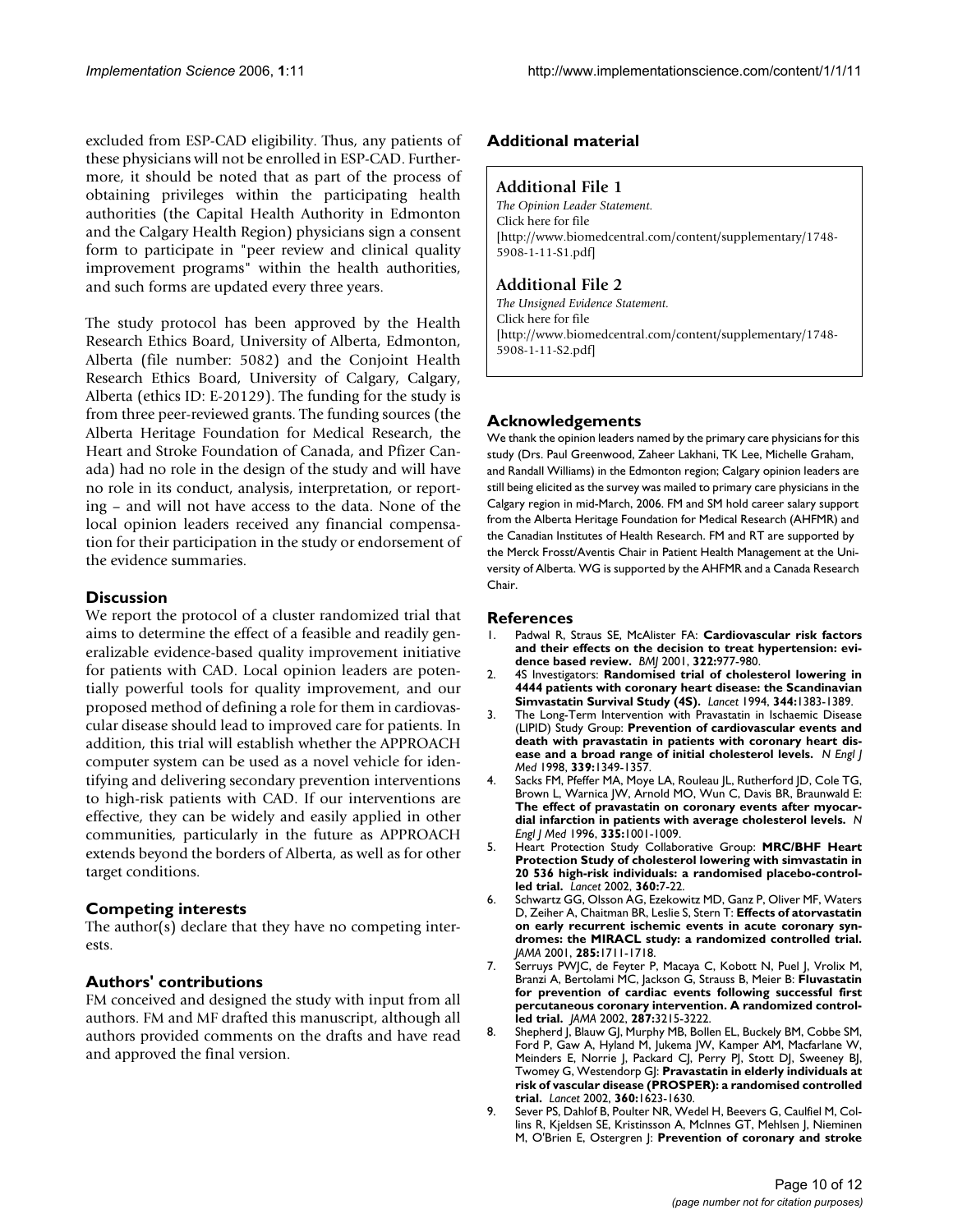excluded from ESP-CAD eligibility. Thus, any patients of these physicians will not be enrolled in ESP-CAD. Furthermore, it should be noted that as part of the process of obtaining privileges within the participating health authorities (the Capital Health Authority in Edmonton and the Calgary Health Region) physicians sign a consent form to participate in "peer review and clinical quality improvement programs" within the health authorities, and such forms are updated every three years.

The study protocol has been approved by the Health Research Ethics Board, University of Alberta, Edmonton, Alberta (file number: 5082) and the Conjoint Health Research Ethics Board, University of Calgary, Calgary, Alberta (ethics ID: E-20129). The funding for the study is from three peer-reviewed grants. The funding sources (the Alberta Heritage Foundation for Medical Research, the Heart and Stroke Foundation of Canada, and Pfizer Canada) had no role in the design of the study and will have no role in its conduct, analysis, interpretation, or reporting – and will not have access to the data. None of the local opinion leaders received any financial compensation for their participation in the study or endorsement of the evidence summaries.

# **Discussion**

We report the protocol of a cluster randomized trial that aims to determine the effect of a feasible and readily generalizable evidence-based quality improvement initiative for patients with CAD. Local opinion leaders are potentially powerful tools for quality improvement, and our proposed method of defining a role for them in cardiovascular disease should lead to improved care for patients. In addition, this trial will establish whether the APPROACH computer system can be used as a novel vehicle for identifying and delivering secondary prevention interventions to high-risk patients with CAD. If our interventions are effective, they can be widely and easily applied in other communities, particularly in the future as APPROACH extends beyond the borders of Alberta, as well as for other target conditions.

# **Competing interests**

The author(s) declare that they have no competing interests.

# **Authors' contributions**

FM conceived and designed the study with input from all authors. FM and MF drafted this manuscript, although all authors provided comments on the drafts and have read and approved the final version.

# **Additional material**

#### **Additional File 1**

*The Opinion Leader Statement.* Click here for file [\[http://www.biomedcentral.com/content/supplementary/1748-](http://www.biomedcentral.com/content/supplementary/1748-5908-1-11-S1.pdf) 5908-1-11-S1.pdf]

# **Additional File 2**

*The Unsigned Evidence Statement.* Click here for file [\[http://www.biomedcentral.com/content/supplementary/1748-](http://www.biomedcentral.com/content/supplementary/1748-5908-1-11-S2.pdf) 5908-1-11-S2.pdf]

# **Acknowledgements**

We thank the opinion leaders named by the primary care physicians for this study (Drs. Paul Greenwood, Zaheer Lakhani, TK Lee, Michelle Graham, and Randall Williams) in the Edmonton region; Calgary opinion leaders are still being elicited as the survey was mailed to primary care physicians in the Calgary region in mid-March, 2006. FM and SM hold career salary support from the Alberta Heritage Foundation for Medical Research (AHFMR) and the Canadian Institutes of Health Research. FM and RT are supported by the Merck Frosst/Aventis Chair in Patient Health Management at the University of Alberta. WG is supported by the AHFMR and a Canada Research Chair.

#### **References**

- 1. Padwal R, Straus SE, McAlister FA: **[Cardiovascular risk factors](http://www.ncbi.nlm.nih.gov/entrez/query.fcgi?cmd=Retrieve&db=PubMed&dopt=Abstract&list_uids=11312234) [and their effects on the decision to treat hypertension: evi](http://www.ncbi.nlm.nih.gov/entrez/query.fcgi?cmd=Retrieve&db=PubMed&dopt=Abstract&list_uids=11312234)[dence based review.](http://www.ncbi.nlm.nih.gov/entrez/query.fcgi?cmd=Retrieve&db=PubMed&dopt=Abstract&list_uids=11312234)** *BMJ* 2001, **322:**977-980.
- 2. 4S Investigators: **[Randomised trial of cholesterol lowering in](http://www.ncbi.nlm.nih.gov/entrez/query.fcgi?cmd=Retrieve&db=PubMed&dopt=Abstract&list_uids=7968073) [4444 patients with coronary heart disease: the Scandinavian](http://www.ncbi.nlm.nih.gov/entrez/query.fcgi?cmd=Retrieve&db=PubMed&dopt=Abstract&list_uids=7968073) [Simvastatin Survival Study \(4S\).](http://www.ncbi.nlm.nih.gov/entrez/query.fcgi?cmd=Retrieve&db=PubMed&dopt=Abstract&list_uids=7968073)** *Lancet* 1994, **344:**1383-1389.
- 3. The Long-Term Intervention with Pravastatin in Ischaemic Disease (LIPID) Study Group: **[Prevention of cardiovascular events and](http://www.ncbi.nlm.nih.gov/entrez/query.fcgi?cmd=Retrieve&db=PubMed&dopt=Abstract&list_uids=9841303) [death with pravastatin in patients with coronary heart dis](http://www.ncbi.nlm.nih.gov/entrez/query.fcgi?cmd=Retrieve&db=PubMed&dopt=Abstract&list_uids=9841303)[ease and a broad range of initial cholesterol levels.](http://www.ncbi.nlm.nih.gov/entrez/query.fcgi?cmd=Retrieve&db=PubMed&dopt=Abstract&list_uids=9841303)** *N Engl J Med* 1998, **339:**1349-1357.
- 4. Sacks FM, Pfeffer MA, Moye LA, Rouleau JL, Rutherford JD, Cole TG, Brown L, Warnica JW, Arnold MO, Wun C, Davis BR, Braunwald E: **[The effect of pravastatin on coronary events after myocar](http://www.ncbi.nlm.nih.gov/entrez/query.fcgi?cmd=Retrieve&db=PubMed&dopt=Abstract&list_uids=8801446)[dial infarction in patients with average cholesterol levels.](http://www.ncbi.nlm.nih.gov/entrez/query.fcgi?cmd=Retrieve&db=PubMed&dopt=Abstract&list_uids=8801446)** *N Engl J Med* 1996, **335:**1001-1009.
- 5. Heart Protection Study Collaborative Group: **[MRC/BHF Heart](http://www.ncbi.nlm.nih.gov/entrez/query.fcgi?cmd=Retrieve&db=PubMed&dopt=Abstract&list_uids=12114036) Protection Study of cholesterol lowering with simvastatin in [20 536 high-risk individuals: a randomised placebo-control](http://www.ncbi.nlm.nih.gov/entrez/query.fcgi?cmd=Retrieve&db=PubMed&dopt=Abstract&list_uids=12114036)[led trial.](http://www.ncbi.nlm.nih.gov/entrez/query.fcgi?cmd=Retrieve&db=PubMed&dopt=Abstract&list_uids=12114036)** *Lancet* 2002, **360:**7-22.
- 6. Schwartz GG, Olsson AG, Ezekowitz MD, Ganz P, Oliver MF, Waters D, Zeiher A, Chaitman BR, Leslie S, Stern T: **[Effects of atorvastatin](http://www.ncbi.nlm.nih.gov/entrez/query.fcgi?cmd=Retrieve&db=PubMed&dopt=Abstract&list_uids=11277825) on early recurrent ischemic events in acute coronary syn[dromes: the MIRACL study: a randomized controlled trial.](http://www.ncbi.nlm.nih.gov/entrez/query.fcgi?cmd=Retrieve&db=PubMed&dopt=Abstract&list_uids=11277825)** *JAMA* 2001, **285:**1711-1718.
- 7. Serruys PWJC, de Feyter P, Macaya C, Kobott N, Puel J, Vrolix M, Branzi A, Bertolami MC, Jackson G, Strauss B, Meier B: **[Fluvastatin](http://www.ncbi.nlm.nih.gov/entrez/query.fcgi?cmd=Retrieve&db=PubMed&dopt=Abstract&list_uids=12076217) for prevention of cardiac events following successful first [percutaneous coronary intervention. A randomized control](http://www.ncbi.nlm.nih.gov/entrez/query.fcgi?cmd=Retrieve&db=PubMed&dopt=Abstract&list_uids=12076217)[led trial.](http://www.ncbi.nlm.nih.gov/entrez/query.fcgi?cmd=Retrieve&db=PubMed&dopt=Abstract&list_uids=12076217)** *JAMA* 2002, **287:**3215-3222.
- 8. Shepherd J, Blauw GJ, Murphy MB, Bollen EL, Buckely BM, Cobbe SM, Ford P, Gaw A, Hyland M, Jukema JW, Kamper AM, Macfarlane W, Meinders E, Norrie J, Packard CJ, Perry PJ, Stott DJ, Sweeney BJ, Twomey G, Westendorp GJ: **[Pravastatin in elderly individuals at](http://www.ncbi.nlm.nih.gov/entrez/query.fcgi?cmd=Retrieve&db=PubMed&dopt=Abstract&list_uids=12457784) [risk of vascular disease \(PROSPER\): a randomised controlled](http://www.ncbi.nlm.nih.gov/entrez/query.fcgi?cmd=Retrieve&db=PubMed&dopt=Abstract&list_uids=12457784) [trial.](http://www.ncbi.nlm.nih.gov/entrez/query.fcgi?cmd=Retrieve&db=PubMed&dopt=Abstract&list_uids=12457784)** *Lancet* 2002, **360:**1623-1630.
- 9. Sever PS, Dahlof B, Poulter NR, Wedel H, Beevers G, Caulfiel M, Collins R, Kjeldsen SE, Kristinsson A, McInnes GT, Mehlsen J, Nieminen M, O'Brien E, Ostergren J: **[Prevention of coronary and stroke](http://www.ncbi.nlm.nih.gov/entrez/query.fcgi?cmd=Retrieve&db=PubMed&dopt=Abstract&list_uids=12686036)**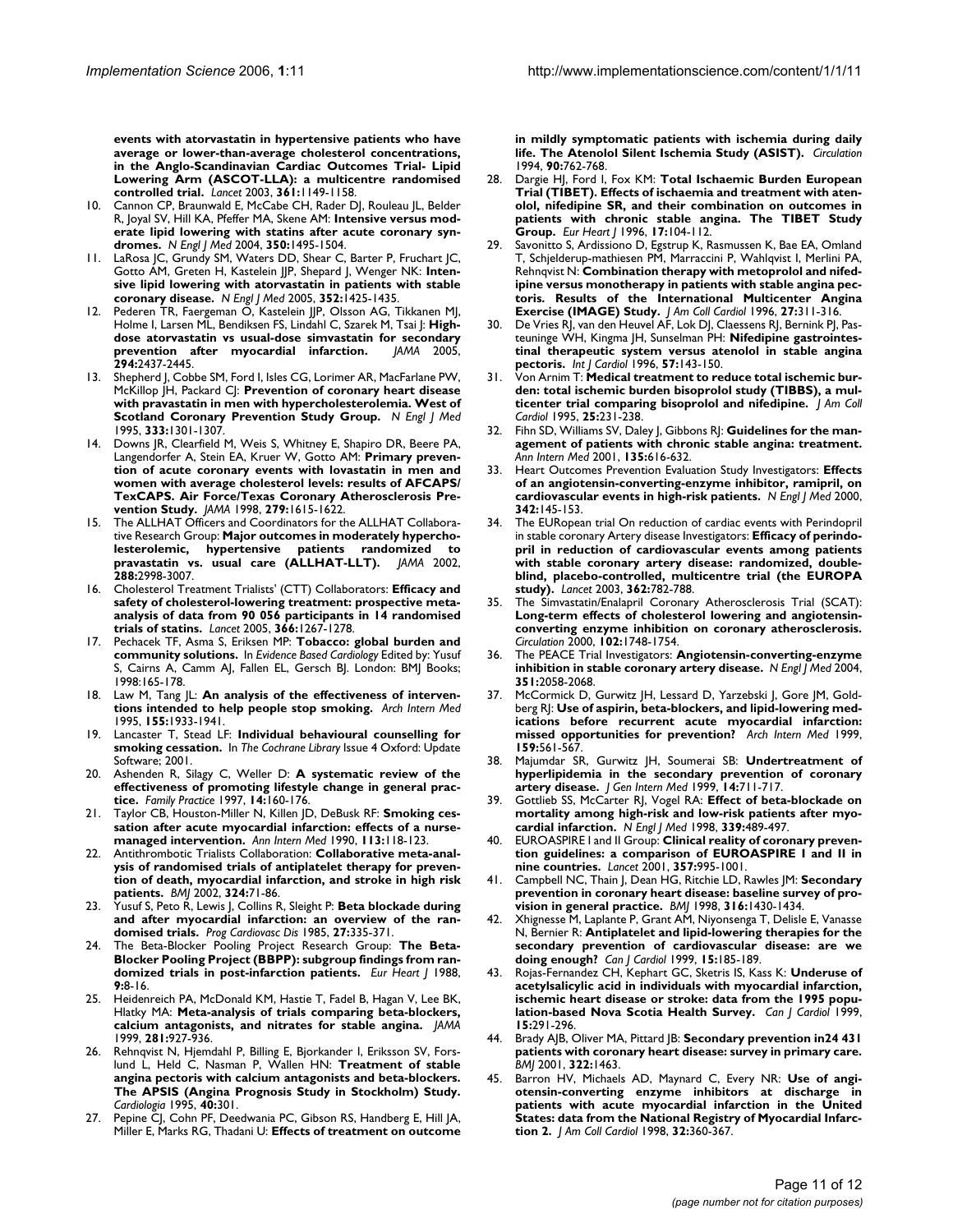**[events with atorvastatin in hypertensive patients who have](http://www.ncbi.nlm.nih.gov/entrez/query.fcgi?cmd=Retrieve&db=PubMed&dopt=Abstract&list_uids=12686036) average or lower-than-average cholesterol concentrations, in the Anglo-Scandinavian Cardiac Outcomes Trial- Lipid Lowering Arm (ASCOT-LLA): a multicentre randomised [controlled trial.](http://www.ncbi.nlm.nih.gov/entrez/query.fcgi?cmd=Retrieve&db=PubMed&dopt=Abstract&list_uids=12686036)** *Lancet* 2003, **361:**1149-1158.

- 10. Cannon CP, Braunwald E, McCabe CH, Rader DJ, Rouleau JL, Belder R, Joyal SV, Hill KA, Pfeffer MA, Skene AM: **[Intensive versus mod](http://www.ncbi.nlm.nih.gov/entrez/query.fcgi?cmd=Retrieve&db=PubMed&dopt=Abstract&list_uids=15007110)[erate lipid lowering with statins after acute coronary syn](http://www.ncbi.nlm.nih.gov/entrez/query.fcgi?cmd=Retrieve&db=PubMed&dopt=Abstract&list_uids=15007110)[dromes.](http://www.ncbi.nlm.nih.gov/entrez/query.fcgi?cmd=Retrieve&db=PubMed&dopt=Abstract&list_uids=15007110)** *N Engl J Med* 2004, **350:**1495-1504.
- 11. LaRosa JC, Grundy SM, Waters DD, Shear C, Barter P, Fruchart JC, Gotto AM, Greten H, Kastelein JJP, Shepard J, Wenger NK: **[Inten](http://www.ncbi.nlm.nih.gov/entrez/query.fcgi?cmd=Retrieve&db=PubMed&dopt=Abstract&list_uids=15755765)[sive lipid lowering with atorvastatin in patients with stable](http://www.ncbi.nlm.nih.gov/entrez/query.fcgi?cmd=Retrieve&db=PubMed&dopt=Abstract&list_uids=15755765) [coronary disease.](http://www.ncbi.nlm.nih.gov/entrez/query.fcgi?cmd=Retrieve&db=PubMed&dopt=Abstract&list_uids=15755765)** *N Engl J Med* 2005, **352:**1425-1435.
- Pederen TR, Faergeman O, Kastelein JJP, Olsson AG, Tikkanen MJ, Holme I, Larsen ML, Bendiksen FS, Lindahl C, Szarek M, Tsai J: **[High](http://www.ncbi.nlm.nih.gov/entrez/query.fcgi?cmd=Retrieve&db=PubMed&dopt=Abstract&list_uids=16287954)[dose atorvastatin vs usual-dose simvastatin for secondary](http://www.ncbi.nlm.nih.gov/entrez/query.fcgi?cmd=Retrieve&db=PubMed&dopt=Abstract&list_uids=16287954) [prevention after myocardial infarction.](http://www.ncbi.nlm.nih.gov/entrez/query.fcgi?cmd=Retrieve&db=PubMed&dopt=Abstract&list_uids=16287954)** *JAMA* 2005, **294:**2437-2445.
- Shepherd J, Cobbe SM, Ford I, Isles CG, Lorimer AR, MacFarlane PW, McKillop JH, Packard CJ: **[Prevention of coronary heart disease](http://www.ncbi.nlm.nih.gov/entrez/query.fcgi?cmd=Retrieve&db=PubMed&dopt=Abstract&list_uids=7566020) [with pravastatin in men with hypercholesterolemia. West of](http://www.ncbi.nlm.nih.gov/entrez/query.fcgi?cmd=Retrieve&db=PubMed&dopt=Abstract&list_uids=7566020) [Scotland Coronary Prevention Study Group.](http://www.ncbi.nlm.nih.gov/entrez/query.fcgi?cmd=Retrieve&db=PubMed&dopt=Abstract&list_uids=7566020)** *N Engl J Med* 1995, **333:**1301-1307.
- 14. Downs JR, Clearfield M, Weis S, Whitney E, Shapiro DR, Beere PA, Langendorfer A, Stein EA, Kruer W, Gotto AM: **[Primary preven](http://www.ncbi.nlm.nih.gov/entrez/query.fcgi?cmd=Retrieve&db=PubMed&dopt=Abstract&list_uids=9613910)tion of acute coronary events with lovastatin in men and [women with average cholesterol levels: results of AFCAPS/](http://www.ncbi.nlm.nih.gov/entrez/query.fcgi?cmd=Retrieve&db=PubMed&dopt=Abstract&list_uids=9613910) TexCAPS. Air Force/Texas Coronary Atherosclerosis Pre[vention Study.](http://www.ncbi.nlm.nih.gov/entrez/query.fcgi?cmd=Retrieve&db=PubMed&dopt=Abstract&list_uids=9613910)** *JAMA* 1998, **279:**1615-1622.
- 15. The ALLHAT Officers and Coordinators for the ALLHAT Collaborative Research Group: **[Major outcomes in moderately hypercho](http://www.ncbi.nlm.nih.gov/entrez/query.fcgi?cmd=Retrieve&db=PubMed&dopt=Abstract&list_uids=12479764)**lesterolemic, hypertensive patients **[pravastatin vs. usual care \(ALLHAT-LLT\).](http://www.ncbi.nlm.nih.gov/entrez/query.fcgi?cmd=Retrieve&db=PubMed&dopt=Abstract&list_uids=12479764)** *JAMA* 2002, **288:**2998-3007.
- 16. Cholesterol Treatment Trialists' (CTT) Collaborators: **[Efficacy and](http://www.ncbi.nlm.nih.gov/entrez/query.fcgi?cmd=Retrieve&db=PubMed&dopt=Abstract&list_uids=16214597) safety of cholesterol-lowering treatment: prospective meta[analysis of data from 90 056 participants in 14 randomised](http://www.ncbi.nlm.nih.gov/entrez/query.fcgi?cmd=Retrieve&db=PubMed&dopt=Abstract&list_uids=16214597) [trials of statins.](http://www.ncbi.nlm.nih.gov/entrez/query.fcgi?cmd=Retrieve&db=PubMed&dopt=Abstract&list_uids=16214597)** *Lancet* 2005, **366:**1267-1278.
- 17. Pechacek TF, Asma S, Eriksen MP: **Tobacco: global burden and community solutions.** In *Evidence Based Cardiology* Edited by: Yusuf S, Cairns A, Camm AJ, Fallen EL, Gersch BJ. London: BMJ Books; 1998:165-178.
- 18. Law M, Tang JL: **[An analysis of the effectiveness of interven](http://www.ncbi.nlm.nih.gov/entrez/query.fcgi?cmd=Retrieve&db=PubMed&dopt=Abstract&list_uids=7575046)[tions intended to help people stop smoking.](http://www.ncbi.nlm.nih.gov/entrez/query.fcgi?cmd=Retrieve&db=PubMed&dopt=Abstract&list_uids=7575046)** *Arch Intern Med* 1995, **155:**1933-1941.
- 19. Lancaster T, Stead LF: **Individual behavioural counselling for smoking cessation.** In *The Cochrane Library* Issue 4 Oxford: Update Software; 2001.
- 20. Ashenden R, Silagy C, Weller D: **[A systematic review of the](http://www.ncbi.nlm.nih.gov/entrez/query.fcgi?cmd=Retrieve&db=PubMed&dopt=Abstract&list_uids=9137956) [effectiveness of promoting lifestyle change in general prac](http://www.ncbi.nlm.nih.gov/entrez/query.fcgi?cmd=Retrieve&db=PubMed&dopt=Abstract&list_uids=9137956)[tice.](http://www.ncbi.nlm.nih.gov/entrez/query.fcgi?cmd=Retrieve&db=PubMed&dopt=Abstract&list_uids=9137956)** *Family Practice* 1997, **14:**160-176.
- 21. Taylor CB, Houston-Miller N, Killen JD, DeBusk RF: **[Smoking ces](http://www.ncbi.nlm.nih.gov/entrez/query.fcgi?cmd=Retrieve&db=PubMed&dopt=Abstract&list_uids=2360750)[sation after acute myocardial infarction: effects of a nurse](http://www.ncbi.nlm.nih.gov/entrez/query.fcgi?cmd=Retrieve&db=PubMed&dopt=Abstract&list_uids=2360750)[managed intervention.](http://www.ncbi.nlm.nih.gov/entrez/query.fcgi?cmd=Retrieve&db=PubMed&dopt=Abstract&list_uids=2360750)** *Ann Intern Med* 1990, **113:**118-123.
- 22. Antithrombotic Trialists Collaboration: **[Collaborative meta-anal](http://www.ncbi.nlm.nih.gov/entrez/query.fcgi?cmd=Retrieve&db=PubMed&dopt=Abstract&list_uids=11786451)ysis of randomised trials of antiplatelet therapy for preven[tion of death, myocardial infarction, and stroke in high risk](http://www.ncbi.nlm.nih.gov/entrez/query.fcgi?cmd=Retrieve&db=PubMed&dopt=Abstract&list_uids=11786451) [patients.](http://www.ncbi.nlm.nih.gov/entrez/query.fcgi?cmd=Retrieve&db=PubMed&dopt=Abstract&list_uids=11786451)** *BMJ* 2002, **324:**71-86.
- 23. Yusuf S, Peto R, Lewis J, Collins R, Sleight P: **[Beta blockade during](http://www.ncbi.nlm.nih.gov/entrez/query.fcgi?cmd=Retrieve&db=PubMed&dopt=Abstract&list_uids=2858114) [and after myocardial infarction: an overview of the ran](http://www.ncbi.nlm.nih.gov/entrez/query.fcgi?cmd=Retrieve&db=PubMed&dopt=Abstract&list_uids=2858114)[domised trials.](http://www.ncbi.nlm.nih.gov/entrez/query.fcgi?cmd=Retrieve&db=PubMed&dopt=Abstract&list_uids=2858114)** *Prog Cardiovasc Dis* 1985, **27:**335-371.
- 24. The Beta-Blocker Pooling Project Research Group: **The Beta-Blocker Pooling Project (BBPP): subgroup findings from randomized trials in post-infarction patients.** *Eur Heart J* 1988, **9:**8-16.
- 25. Heidenreich PA, McDonald KM, Hastie T, Fadel B, Hagan V, Lee BK, Hlatky MA: **[Meta-analysis of trials comparing beta-blockers,](http://www.ncbi.nlm.nih.gov/entrez/query.fcgi?cmd=Retrieve&db=PubMed&dopt=Abstract&list_uids=10078490) [calcium antagonists, and nitrates for stable angina.](http://www.ncbi.nlm.nih.gov/entrez/query.fcgi?cmd=Retrieve&db=PubMed&dopt=Abstract&list_uids=10078490)** *JAMA* 1999, **281:**927-936.
- 26. Rehnqvist N, Hjemdahl P, Billing E, Bjorkander I, Eriksson SV, Forslund L, Held C, Nasman P, Wallen HN: **[Treatment of stable](http://www.ncbi.nlm.nih.gov/entrez/query.fcgi?cmd=Retrieve&db=PubMed&dopt=Abstract&list_uids=8903053) angina pectoris with calcium antagonists and beta-blockers. [The APSIS \(Angina Prognosis Study in Stockholm\) Study.](http://www.ncbi.nlm.nih.gov/entrez/query.fcgi?cmd=Retrieve&db=PubMed&dopt=Abstract&list_uids=8903053)** *Cardiologia* 1995, **40:**301.
- 27. Pepine CJ, Cohn PF, Deedwania PC, Gibson RS, Handberg E, Hill JA, Miller E, Marks RG, Thadani U: **[Effects of treatment on outcome](http://www.ncbi.nlm.nih.gov/entrez/query.fcgi?cmd=Retrieve&db=PubMed&dopt=Abstract&list_uids=8044945)**

**[in mildly symptomatic patients with ischemia during daily](http://www.ncbi.nlm.nih.gov/entrez/query.fcgi?cmd=Retrieve&db=PubMed&dopt=Abstract&list_uids=8044945) [life. The Atenolol Silent Ischemia Study \(ASIST\).](http://www.ncbi.nlm.nih.gov/entrez/query.fcgi?cmd=Retrieve&db=PubMed&dopt=Abstract&list_uids=8044945)** *Circulation* 1994, **90:**762-768.

- 28. Dargie HJ, Ford I, Fox KM: **[Total Ischaemic Burden European](http://www.ncbi.nlm.nih.gov/entrez/query.fcgi?cmd=Retrieve&db=PubMed&dopt=Abstract&list_uids=8682116) Trial (TIBET). Effects of ischaemia and treatment with atenolol, nifedipine SR, and their combination on outcomes in [patients with chronic stable angina. The TIBET Study](http://www.ncbi.nlm.nih.gov/entrez/query.fcgi?cmd=Retrieve&db=PubMed&dopt=Abstract&list_uids=8682116) [Group.](http://www.ncbi.nlm.nih.gov/entrez/query.fcgi?cmd=Retrieve&db=PubMed&dopt=Abstract&list_uids=8682116)** *Eur Heart J* 1996, **17:**104-112.
- Savonitto S, Ardissiono D, Egstrup K, Rasmussen K, Bae EA, Omland T, Schjelderup-mathiesen PM, Marraccini P, Wahlqvist I, Merlini PA, Rehnqvist N: **[Combination therapy with metoprolol and nifed](http://www.ncbi.nlm.nih.gov/entrez/query.fcgi?cmd=Retrieve&db=PubMed&dopt=Abstract&list_uids=8557899)ipine versus monotherapy in patients with stable angina pec[toris. Results of the International Multicenter Angina](http://www.ncbi.nlm.nih.gov/entrez/query.fcgi?cmd=Retrieve&db=PubMed&dopt=Abstract&list_uids=8557899) [Exercise \(IMAGE\) Study.](http://www.ncbi.nlm.nih.gov/entrez/query.fcgi?cmd=Retrieve&db=PubMed&dopt=Abstract&list_uids=8557899)** *J Am Coll Cardiol* 1996, **27:**311-316.
- 30. De Vries RJ, van den Heuvel AF, Lok DJ, Claessens RJ, Bernink PJ, Pasteuninge WH, Kingma JH, Sunselman PH: **[Nifedipine gastrointes](http://www.ncbi.nlm.nih.gov/entrez/query.fcgi?cmd=Retrieve&db=PubMed&dopt=Abstract&list_uids=9013266)[tinal therapeutic system versus atenolol in stable angina](http://www.ncbi.nlm.nih.gov/entrez/query.fcgi?cmd=Retrieve&db=PubMed&dopt=Abstract&list_uids=9013266) [pectoris.](http://www.ncbi.nlm.nih.gov/entrez/query.fcgi?cmd=Retrieve&db=PubMed&dopt=Abstract&list_uids=9013266)** *Int J Cardiol* 1996, **57:**143-150.
- 31. Von Arnim T: **[Medical treatment to reduce total ischemic bur](http://www.ncbi.nlm.nih.gov/entrez/query.fcgi?cmd=Retrieve&db=PubMed&dopt=Abstract&list_uids=7798508)[den: total ischemic burden bisoprolol study \(TIBBS\), a mul](http://www.ncbi.nlm.nih.gov/entrez/query.fcgi?cmd=Retrieve&db=PubMed&dopt=Abstract&list_uids=7798508)[ticenter trial comparing bisoprolol and nifedipine.](http://www.ncbi.nlm.nih.gov/entrez/query.fcgi?cmd=Retrieve&db=PubMed&dopt=Abstract&list_uids=7798508)** *J Am Coll Cardiol* 1995, **25:**231-238.
- 32. Fihn SD, Williams SV, Daley J, Gibbons RJ: **[Guidelines for the man](http://www.ncbi.nlm.nih.gov/entrez/query.fcgi?cmd=Retrieve&db=PubMed&dopt=Abstract&list_uids=11601935)[agement of patients with chronic stable angina: treatment.](http://www.ncbi.nlm.nih.gov/entrez/query.fcgi?cmd=Retrieve&db=PubMed&dopt=Abstract&list_uids=11601935)** *Ann Intern Med* 2001, **135:**616-632.
- 33. Heart Outcomes Prevention Evaluation Study Investigators: **[Effects](http://www.ncbi.nlm.nih.gov/entrez/query.fcgi?cmd=Retrieve&db=PubMed&dopt=Abstract&list_uids=10639539) [of an angiotensin-converting-enzyme inhibitor, ramipril, on](http://www.ncbi.nlm.nih.gov/entrez/query.fcgi?cmd=Retrieve&db=PubMed&dopt=Abstract&list_uids=10639539) [cardiovascular events in high-risk patients.](http://www.ncbi.nlm.nih.gov/entrez/query.fcgi?cmd=Retrieve&db=PubMed&dopt=Abstract&list_uids=10639539)** *N Engl J Med* 2000, **342:**145-153.
- 34. The EURopean trial On reduction of cardiac events with Perindopril in stable coronary Artery disease Investigators: **[Efficacy of perindo](http://www.ncbi.nlm.nih.gov/entrez/query.fcgi?cmd=Retrieve&db=PubMed&dopt=Abstract&list_uids=13678872)pril in reduction of cardiovascular events among patients with stable coronary artery disease: randomized, double[blind, placebo-controlled, multicentre trial \(the EUROPA](http://www.ncbi.nlm.nih.gov/entrez/query.fcgi?cmd=Retrieve&db=PubMed&dopt=Abstract&list_uids=13678872) [study\).](http://www.ncbi.nlm.nih.gov/entrez/query.fcgi?cmd=Retrieve&db=PubMed&dopt=Abstract&list_uids=13678872)** *Lancet* 2003, **362:**782-788.
- 35. The Simvastatin/Enalapril Coronary Atherosclerosis Trial (SCAT): **Long-term effects of cholesterol lowering and angiotensin[converting enzyme inhibition on coronary atherosclerosis.](http://www.ncbi.nlm.nih.gov/entrez/query.fcgi?cmd=Retrieve&db=PubMed&dopt=Abstract&list_uids=11023927)** *Circulation* 2000, **102:**1748-1754.
- 36. The PEACE Trial Investigators: **[Angiotensin-converting-enzyme](http://www.ncbi.nlm.nih.gov/entrez/query.fcgi?cmd=Retrieve&db=PubMed&dopt=Abstract&list_uids=15531767) [inhibition in stable coronary artery disease.](http://www.ncbi.nlm.nih.gov/entrez/query.fcgi?cmd=Retrieve&db=PubMed&dopt=Abstract&list_uids=15531767)** *N Engl J Med* 2004, **351:**2058-2068.
- 37. McCormick D, Gurwitz JH, Lessard D, Yarzebski J, Gore JM, Goldberg RJ: **[Use of aspirin, beta-blockers, and lipid-lowering med](http://www.ncbi.nlm.nih.gov/entrez/query.fcgi?cmd=Retrieve&db=PubMed&dopt=Abstract&list_uids=10090112)[ications before recurrent acute myocardial infarction:](http://www.ncbi.nlm.nih.gov/entrez/query.fcgi?cmd=Retrieve&db=PubMed&dopt=Abstract&list_uids=10090112) [missed opportunities for prevention?](http://www.ncbi.nlm.nih.gov/entrez/query.fcgi?cmd=Retrieve&db=PubMed&dopt=Abstract&list_uids=10090112)** *Arch Intern Med* 1999, **159:**561-567.
- 38. Majumdar SR, Gurwitz JH, Soumerai SB: **[Undertreatment of](http://www.ncbi.nlm.nih.gov/entrez/query.fcgi?cmd=Retrieve&db=PubMed&dopt=Abstract&list_uids=10632815) [hyperlipidemia in the secondary prevention of coronary](http://www.ncbi.nlm.nih.gov/entrez/query.fcgi?cmd=Retrieve&db=PubMed&dopt=Abstract&list_uids=10632815) [artery disease.](http://www.ncbi.nlm.nih.gov/entrez/query.fcgi?cmd=Retrieve&db=PubMed&dopt=Abstract&list_uids=10632815)** *J Gen Intern Med* 1999, **14:**711-717.
- 39. Gottlieb SS, McCarter RJ, Vogel RA: **[Effect of beta-blockade on](http://www.ncbi.nlm.nih.gov/entrez/query.fcgi?cmd=Retrieve&db=PubMed&dopt=Abstract&list_uids=9709041) [mortality among high-risk and low-risk patients after myo](http://www.ncbi.nlm.nih.gov/entrez/query.fcgi?cmd=Retrieve&db=PubMed&dopt=Abstract&list_uids=9709041)[cardial infarction.](http://www.ncbi.nlm.nih.gov/entrez/query.fcgi?cmd=Retrieve&db=PubMed&dopt=Abstract&list_uids=9709041)** *N Engl J Med* 1998, **339:**489-497.
- 40. EUROASPIRE I and II Group: **[Clinical reality of coronary preven](http://www.ncbi.nlm.nih.gov/entrez/query.fcgi?cmd=Retrieve&db=PubMed&dopt=Abstract&list_uids=11293642)[tion guidelines: a comparison of EUROASPIRE I and II in](http://www.ncbi.nlm.nih.gov/entrez/query.fcgi?cmd=Retrieve&db=PubMed&dopt=Abstract&list_uids=11293642) [nine countries.](http://www.ncbi.nlm.nih.gov/entrez/query.fcgi?cmd=Retrieve&db=PubMed&dopt=Abstract&list_uids=11293642)** *Lancet* 2001, **357:**995-1001.
- 41. Campbell NC, Thain J, Dean HG, Ritchie LD, Rawles JM: **[Secondary](http://www.ncbi.nlm.nih.gov/entrez/query.fcgi?cmd=Retrieve&db=PubMed&dopt=Abstract&list_uids=9572757) [prevention in coronary heart disease: baseline survey of pro](http://www.ncbi.nlm.nih.gov/entrez/query.fcgi?cmd=Retrieve&db=PubMed&dopt=Abstract&list_uids=9572757)[vision in general practice.](http://www.ncbi.nlm.nih.gov/entrez/query.fcgi?cmd=Retrieve&db=PubMed&dopt=Abstract&list_uids=9572757)** *BMJ* 1998, **316:**1430-1434.
- 42. Xhignesse M, Laplante P, Grant AM, Niyonsenga T, Delisle E, Vanasse N, Bernier R: **[Antiplatelet and lipid-lowering therapies for the](http://www.ncbi.nlm.nih.gov/entrez/query.fcgi?cmd=Retrieve&db=PubMed&dopt=Abstract&list_uids=10079778) [secondary prevention of cardiovascular disease: are we](http://www.ncbi.nlm.nih.gov/entrez/query.fcgi?cmd=Retrieve&db=PubMed&dopt=Abstract&list_uids=10079778) [doing enough?](http://www.ncbi.nlm.nih.gov/entrez/query.fcgi?cmd=Retrieve&db=PubMed&dopt=Abstract&list_uids=10079778)** *Can J Cardiol* 1999, **15:**185-189.
- 43. Rojas-Fernandez CH, Kephart GC, Sketris IS, Kass K: **[Underuse of](http://www.ncbi.nlm.nih.gov/entrez/query.fcgi?cmd=Retrieve&db=PubMed&dopt=Abstract&list_uids=10202192) acetylsalicylic acid in individuals with myocardial infarction, [ischemic heart disease or stroke: data from the 1995 popu](http://www.ncbi.nlm.nih.gov/entrez/query.fcgi?cmd=Retrieve&db=PubMed&dopt=Abstract&list_uids=10202192)[lation-based Nova Scotia Health Survey.](http://www.ncbi.nlm.nih.gov/entrez/query.fcgi?cmd=Retrieve&db=PubMed&dopt=Abstract&list_uids=10202192)** *Can J Cardiol* 1999, **15:**291-296.
- 44. Brady AJB, Oliver MA, Pittard JB: **[Secondary prevention in24 431](http://www.ncbi.nlm.nih.gov/entrez/query.fcgi?cmd=Retrieve&db=PubMed&dopt=Abstract&list_uids=11408303) [patients with coronary heart disease: survey in primary care.](http://www.ncbi.nlm.nih.gov/entrez/query.fcgi?cmd=Retrieve&db=PubMed&dopt=Abstract&list_uids=11408303)** *BMJ* 2001, **322:**1463.
- Barron HV, Michaels AD, Maynard C, Every NR: [Use of angi](http://www.ncbi.nlm.nih.gov/entrez/query.fcgi?cmd=Retrieve&db=PubMed&dopt=Abstract&list_uids=9708461)**otensin-converting enzyme inhibitors at discharge in [patients with acute myocardial infarction in the United](http://www.ncbi.nlm.nih.gov/entrez/query.fcgi?cmd=Retrieve&db=PubMed&dopt=Abstract&list_uids=9708461) States: data from the National Registry of Myocardial Infarc[tion 2.](http://www.ncbi.nlm.nih.gov/entrez/query.fcgi?cmd=Retrieve&db=PubMed&dopt=Abstract&list_uids=9708461)** *J Am Coll Cardiol* 1998, **32:**360-367.